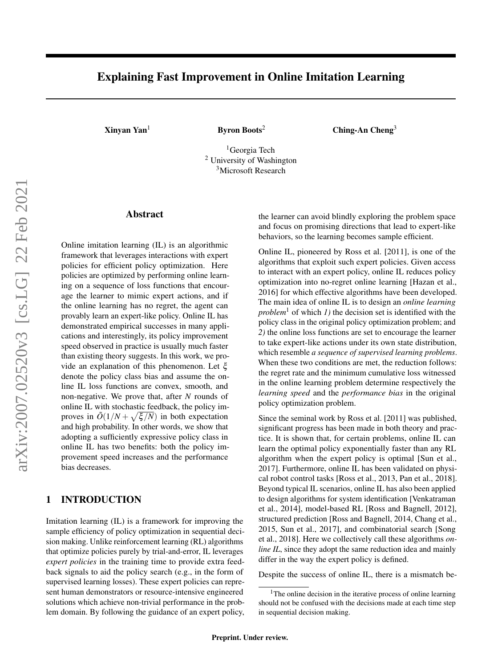# Explaining Fast Improvement in Online Imitation Learning

[Xinyan Yan](mailto:Xinyan Yan <voidpointer@gatech.edu>?Subject=Your Paper on Online IL Fast Rate)<sup>1</sup> Byron Boots<sup>2</sup> Ching-An Cheng<sup>3</sup>

<sup>1</sup>Georgia Tech <sup>2</sup> University of Washington <sup>3</sup>Microsoft Research

## Abstract

Online imitation learning (IL) is an algorithmic framework that leverages interactions with expert policies for efficient policy optimization. Here policies are optimized by performing online learning on a sequence of loss functions that encourage the learner to mimic expert actions, and if the online learning has no regret, the agent can provably learn an expert-like policy. Online IL has demonstrated empirical successes in many applications and interestingly, its policy improvement speed observed in practice is usually much faster than existing theory suggests. In this work, we provide an explanation of this phenomenon. Let ξ denote the policy class bias and assume the online IL loss functions are convex, smooth, and non-negative. We prove that, after *N* rounds of online IL with stochastic feedback, the policy improves in  $\tilde{O}(1/N + \sqrt{\xi/N})$  in both expectation and high probability. In other words, we show that adopting a sufficiently expressive policy class in online IL has two benefits: both the policy improvement speed increases and the performance bias decreases.

# 1 INTRODUCTION

Imitation learning (IL) is a framework for improving the sample efficiency of policy optimization in sequential decision making. Unlike reinforcement learning (RL) algorithms that optimize policies purely by trial-and-error, IL leverages *expert policies* in the training time to provide extra feedback signals to aid the policy search (e.g., in the form of supervised learning losses). These expert policies can represent human demonstrators or resource-intensive engineered solutions which achieve non-trivial performance in the problem domain. By following the guidance of an expert policy, the learner can avoid blindly exploring the problem space and focus on promising directions that lead to expert-like behaviors, so the learning becomes sample efficient.

Online IL, pioneered by [Ross et al.](#page-9-0) [\[2011\]](#page-9-0), is one of the algorithms that exploit such expert policies. Given access to interact with an expert policy, online IL reduces policy optimization into no-regret online learning [\[Hazan et al.,](#page-8-0) [2016\]](#page-8-0) for which effective algorithms have been developed. The main idea of online IL is to design an *online learning problem*<sup>[1](#page-0-0)</sup> of which *1*) the decision set is identified with the policy class in the original policy optimization problem; and *2)* the online loss functions are set to encourage the learner to take expert-like actions under its own state distribution, which resemble *a sequence of supervised learning problems*. When these two conditions are met, the reduction follows: the regret rate and the minimum cumulative loss witnessed in the online learning problem determine respectively the *learning speed* and the *performance bias* in the original policy optimization problem.

Since the seminal work by [Ross et al.](#page-9-0) [\[2011\]](#page-9-0) was published, significant progress has been made in both theory and practice. It is shown that, for certain problems, online IL can learn the optimal policy exponentially faster than any RL algorithm when the expert policy is optimal [\[Sun et al.,](#page-9-1) [2017\]](#page-9-1). Furthermore, online IL has been validated on physical robot control tasks [\[Ross et al., 2013,](#page-9-2) [Pan et al., 2018\]](#page-9-3). Beyond typical IL scenarios, online IL has also been applied to design algorithms for system identification [\[Venkatraman](#page-9-4) [et al., 2014\]](#page-9-4), model-based RL [\[Ross and Bagnell, 2012\]](#page-9-5), structured prediction [\[Ross and Bagnell, 2014,](#page-9-6) [Chang et al.,](#page-8-1) [2015,](#page-8-1) [Sun et al., 2017\]](#page-9-1), and combinatorial search [\[Song](#page-9-7) [et al., 2018\]](#page-9-7). Here we collectively call these algorithms *online IL*, since they adopt the same reduction idea and mainly differ in the way the expert policy is defined.

Despite the success of online IL, there is a mismatch be-

<span id="page-0-0"></span> $1$ The online decision in the iterative process of online learning should not be confused with the decisions made at each time step in sequential decision making.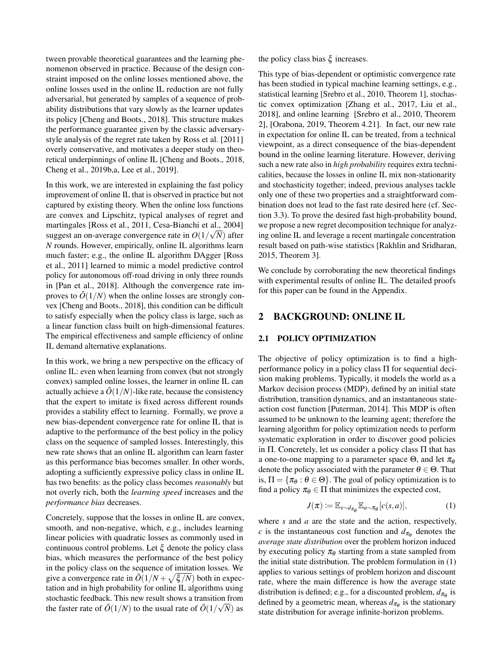tween provable theoretical guarantees and the learning phenomenon observed in practice. Because of the design constraint imposed on the online losses mentioned above, the online losses used in the online IL reduction are not fully adversarial, but generated by samples of a sequence of probability distributions that vary slowly as the learner updates its policy [\[Cheng and Boots., 2018\]](#page-8-2). This structure makes the performance guarantee given by the classic adversarystyle analysis of the regret rate taken by [Ross et al.](#page-9-0) [\[2011\]](#page-9-0) overly conservative, and motivates a deeper study on theoretical underpinnings of online IL [\[Cheng and Boots., 2018,](#page-8-2) [Cheng et al., 2019b](#page-8-3)[,a,](#page-8-4) [Lee et al., 2019\]](#page-9-8).

In this work, we are interested in explaining the fast policy improvement of online IL that is observed in practice but not captured by existing theory. When the online loss functions are convex and Lipschitz, typical analyses of regret and martingales [\[Ross et al., 2011,](#page-9-0) [Cesa-Bianchi et al., 2004\]](#page-8-5) suggest an on-average convergence rate in  $O(1/\sqrt{N})$  after *N* rounds. However, empirically, online IL algorithms learn much faster; e.g., the online IL algorithm DAgger [\[Ross](#page-9-0) [et al., 2011\]](#page-9-0) learned to mimic a model predictive control policy for autonomous off-road driving in only three rounds in [\[Pan et al., 2018\]](#page-9-3). Although the convergence rate improves to  $\tilde{O}(1/N)$  when the online losses are strongly convex [\[Cheng and Boots., 2018\]](#page-8-2), this condition can be difficult to satisfy especially when the policy class is large, such as a linear function class built on high-dimensional features. The empirical effectiveness and sample efficiency of online IL demand alternative explanations.

In this work, we bring a new perspective on the efficacy of online IL: even when learning from convex (but not strongly convex) sampled online losses, the learner in online IL can actually achieve a  $\ddot{O}(1/N)$ -like rate, because the consistency that the expert to imitate is fixed across different rounds provides a stability effect to learning. Formally, we prove a new bias-dependent convergence rate for online IL that is adaptive to the performance of the best policy in the policy class on the sequence of sampled losses. Interestingly, this new rate shows that an online IL algorithm can learn faster as this performance bias becomes smaller. In other words, adopting a sufficiently expressive policy class in online IL has two benefits: as the policy class becomes *reasonably* but not overly rich, both the *learning speed* increases and the *performance bias* decreases.

Concretely, suppose that the losses in online IL are convex, smooth, and non-negative, which, e.g., includes learning linear policies with quadratic losses as commonly used in continuous control problems. Let  $\xi$  denote the policy class bias, which measures the performance of the best policy in the policy class on the sequence of imitation losses. We give a convergence rate in  $\tilde{O}(1/N + \sqrt{\xi/N})$  both in expectation and in high probability for online IL algorithms using stochastic feedback. This new result shows a transition from the faster rate of  $\tilde{O}(1/N)$  to the usual rate of  $\tilde{O}(1/\sqrt{N})$  as

the policy class bias ξ increases.

This type of bias-dependent or optimistic convergence rate has been studied in typical machine learning settings, e.g., statistical learning [\[Srebro et al., 2010,](#page-9-9) Theorem 1], stochastic convex optimization [\[Zhang et al., 2017,](#page-10-0) [Liu et al.,](#page-9-10) [2018\]](#page-9-10), and online learning [\[Srebro et al., 2010,](#page-9-9) Theorem 2], [\[Orabona, 2019,](#page-9-11) Theorem 4.21]. In fact, our new rate in expectation for online IL can be treated, from a technical viewpoint, as a direct consequence of the bias-dependent bound in the online learning literature. However, deriving such a new rate also in *high probability* requires extra technicalities, because the losses in online IL mix non-stationarity and stochasticity together; indeed, previous analyses tackle only one of these two properties and a straightforward combination does not lead to the fast rate desired here (cf. Section [3.3\)](#page-4-0). To prove the desired fast high-probability bound, we propose a new regret decomposition technique for analyzing online IL and leverage a recent martingale concentration result based on path-wise statistics [\[Rakhlin and Sridharan,](#page-9-12) [2015,](#page-9-12) Theorem 3].

We conclude by corroborating the new theoretical findings with experimental results of online IL. The detailed proofs for this paper can be found in the Appendix.

# 2 BACKGROUND: ONLINE IL

#### 2.1 POLICY OPTIMIZATION

The objective of policy optimization is to find a highperformance policy in a policy class Π for sequential decision making problems. Typically, it models the world as a Markov decision process (MDP), defined by an initial state distribution, transition dynamics, and an instantaneous stateaction cost function [\[Puterman, 2014\]](#page-9-13). This MDP is often assumed to be unknown to the learning agent; therefore the learning algorithm for policy optimization needs to perform systematic exploration in order to discover good policies in Π. Concretely, let us consider a policy class Π that has a one-to-one mapping to a parameter space  $\Theta$ , and let  $\pi_{\theta}$ denote the policy associated with the parameter  $\theta \in \Theta$ . That is,  $\Pi = {\pi_\theta : \theta \in \Theta}$ . The goal of policy optimization is to find a policy  $\pi_{\theta} \in \Pi$  that minimizes the expected cost,

<span id="page-1-0"></span>
$$
J(\pi) := \mathbb{E}_{s \sim d_{\pi_{\theta}}} \mathbb{E}_{a \sim \pi_{\theta}}[c(s, a)], \qquad (1)
$$

where *s* and *a* are the state and the action, respectively, *c* is the instantaneous cost function and  $d_{\pi_{\theta}}$  denotes the *average state distribution* over the problem horizon induced by executing policy  $\pi_{\theta}$  starting from a state sampled from the initial state distribution. The problem formulation in [\(1\)](#page-1-0) applies to various settings of problem horizon and discount rate, where the main difference is how the average state distribution is defined; e.g., for a discounted problem,  $d_{\pi_{\theta}}$  is defined by a geometric mean, whereas  $d_{\pi_{\theta}}$  is the stationary state distribution for average infinite-horizon problems.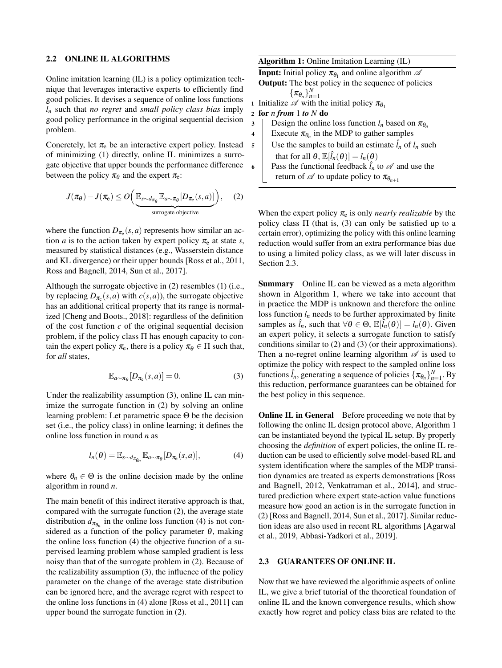#### <span id="page-2-5"></span>2.2 ONLINE IL ALGORITHMS

Online imitation learning (IL) is a policy optimization technique that leverages interactive experts to efficiently find good policies. It devises a sequence of online loss functions *l<sup>n</sup>* such that *no regret* and *small policy class bias* imply good policy performance in the original sequential decision problem.

Concretely, let  $\pi_e$  be an interactive expert policy. Instead of minimizing [\(1\)](#page-1-0) directly, online IL minimizes a surrogate objective that upper bounds the performance difference between the policy  $\pi_{\theta}$  and the expert  $\pi_{e}$ :

$$
J(\pi_{\theta}) - J(\pi_{e}) \leq O\left(\underbrace{\mathbb{E}_{s \sim d_{\pi_{\theta}}} \mathbb{E}_{a \sim \pi_{\theta}} [D_{\pi_{e}}(s, a)]}_{\text{surrogate objective}}\right), \quad (2)
$$

where the function  $D_{\pi_e}(s, a)$  represents how similar an action *a* is to the action taken by expert policy  $\pi_e$  at state *s*, measured by statistical distances (e.g., Wasserstein distance and KL divergence) or their upper bounds [\[Ross et al., 2011,](#page-9-0) [Ross and Bagnell, 2014,](#page-9-6) [Sun et al., 2017\]](#page-9-1).

Although the surrogate objective in [\(2\)](#page-2-0) resembles [\(1\)](#page-1-0) (i.e., by replacing  $D_{\pi_e}(s, a)$  with  $c(s, a)$ ), the surrogate objective has an additional critical property that its range is normalized [\[Cheng and Boots., 2018\]](#page-8-2): regardless of the definition of the cost function *c* of the original sequential decision problem, if the policy class  $\Pi$  has enough capacity to contain the expert policy  $\pi_e$ , there is a policy  $\pi_\theta \in \Pi$  such that, for *all* states,

$$
\mathbb{E}_{a \sim \pi_{\theta}}[D_{\pi_{e}}(s, a)] = 0.
$$
 (3)

Under the realizability assumption [\(3\)](#page-2-1), online IL can minimize the surrogate function in [\(2\)](#page-2-0) by solving an online learning problem: Let parametric space Θ be the decision set (i.e., the policy class) in online learning; it defines the online loss function in round *n* as

$$
l_n(\theta) = \mathbb{E}_{s \sim d_{\pi_{\theta_n}}} \mathbb{E}_{a \sim \pi_\theta} [D_{\pi_\theta}(s, a)], \tag{4}
$$

where  $\theta_n \in \Theta$  is the online decision made by the online algorithm in round *n*.

The main benefit of this indirect iterative approach is that, compared with the surrogate function [\(2\)](#page-2-0), the average state distribution  $d_{\pi_{\theta_n}}$  in the online loss function [\(4\)](#page-2-2) is not considered as a function of the policy parameter  $\theta$ , making the online loss function [\(4\)](#page-2-2) the objective function of a supervised learning problem whose sampled gradient is less noisy than that of the surrogate problem in [\(2\)](#page-2-0). Because of the realizability assumption [\(3\)](#page-2-1), the influence of the policy parameter on the change of the average state distribution can be ignored here, and the average regret with respect to the online loss functions in [\(4\)](#page-2-2) alone [\[Ross et al., 2011\]](#page-9-0) can upper bound the surrogate function in [\(2\)](#page-2-0).

<span id="page-2-4"></span>

|                | <b>Algorithm 1:</b> Online Imitation Learning (IL)                              |  |  |  |  |  |  |
|----------------|---------------------------------------------------------------------------------|--|--|--|--|--|--|
|                | <b>Input:</b> Initial policy $\pi_{\theta_1}$ and online algorithm $\mathscr A$ |  |  |  |  |  |  |
|                | <b>Output:</b> The best policy in the sequence of policies                      |  |  |  |  |  |  |
|                | $\{\pi_{\theta_n}\}_{n=1}^N$                                                    |  |  |  |  |  |  |
|                | 1 Initialize $\mathscr A$ with the initial policy $\pi_{\theta_1}$              |  |  |  |  |  |  |
|                | 2 for <i>n</i> from 1 to $N$ do                                                 |  |  |  |  |  |  |
| 3              | Design the online loss function $l_n$ based on $\pi_{\theta_n}$                 |  |  |  |  |  |  |
| $\overline{4}$ | Execute $\pi_{\theta_n}$ in the MDP to gather samples                           |  |  |  |  |  |  |
| 5              | Use the samples to build an estimate $\hat{l}_n$ of $l_n$ such                  |  |  |  |  |  |  |
|                | that for all $\theta$ , $\mathbb{E}[\hat{l}_n(\theta)] = l_n(\theta)$           |  |  |  |  |  |  |
| 6              | Pass the functional feedback $l_n$ to $\mathscr A$ and use the                  |  |  |  |  |  |  |
|                | return of $\mathscr A$ to update policy to $\pi_{\theta_{n+1}}$                 |  |  |  |  |  |  |

<span id="page-2-0"></span>When the expert policy  $\pi_e$  is only *nearly realizable* by the policy class  $\Pi$  (that is, [\(3\)](#page-2-1) can only be satisfied up to a certain error), optimizing the policy with this online learning reduction would suffer from an extra performance bias due to using a limited policy class, as we will later discuss in Section [2.3.](#page-2-3)

Summary Online IL can be viewed as a meta algorithm shown in Algorithm [1,](#page-2-4) where we take into account that in practice the MDP is unknown and therefore the online loss function  $l_n$  needs to be further approximated by finite samples as  $\hat{l}_n$ , such that  $\forall \theta \in \Theta$ ,  $\mathbb{E}[\hat{l}_n(\theta)] = l_n(\theta)$ . Given an expert policy, it selects a surrogate function to satisfy conditions similar to [\(2\)](#page-2-0) and [\(3\)](#page-2-1) (or their approximations). Then a no-regret online learning algorithm  $\mathscr A$  is used to optimize the policy with respect to the sampled online loss functions  $\hat{l}_n$ , generating a sequence of policies  $\{\pi_{\theta_n}\}_{n=1}^N$ . By this reduction, performance guarantees can be obtained for the best policy in this sequence.

<span id="page-2-2"></span><span id="page-2-1"></span>**Online IL in General** Before proceeding we note that by following the online IL design protocol above, Algorithm [1](#page-2-4) can be instantiated beyond the typical IL setup. By properly choosing the *definition* of expert policies, the online IL reduction can be used to efficiently solve model-based RL and system identification where the samples of the MDP transition dynamics are treated as experts demonstrations [\[Ross](#page-9-5) [and Bagnell, 2012,](#page-9-5) [Venkatraman et al., 2014\]](#page-9-4), and structured prediction where expert state-action value functions measure how good an action is in the surrogate function in [\(2\)](#page-2-0) [\[Ross and Bagnell, 2014,](#page-9-6) [Sun et al., 2017\]](#page-9-1). Similar reduction ideas are also used in recent RL algorithms [\[Agarwal](#page-8-6) [et al., 2019,](#page-8-6) [Abbasi-Yadkori et al., 2019\]](#page-8-7).

## <span id="page-2-3"></span>2.3 GUARANTEES OF ONLINE IL

Now that we have reviewed the algorithmic aspects of online IL, we give a brief tutorial of the theoretical foundation of online IL and the known convergence results, which show exactly how regret and policy class bias are related to the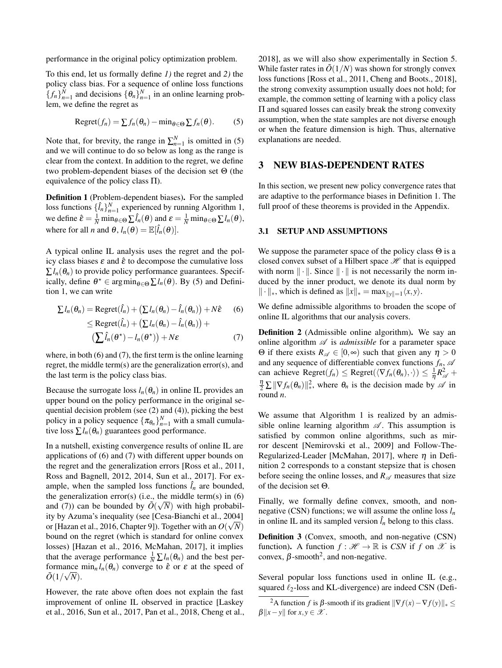performance in the original policy optimization problem.

To this end, let us formally define *1)* the regret and *2)* the policy class bias. For a sequence of online loss functions  ${f_n}_{n=1}^N$  and decisions  ${\{\theta_n\}}_{n=1}^N$  in an online learning problem, we define the regret as

Regret
$$
(f_n)
$$
 =  $\sum f_n(\theta_n)$  - min $\theta \in \Theta \sum f_n(\theta)$ . (5)

Note that, for brevity, the range in  $\sum_{n=1}^{N}$  is omitted in [\(5\)](#page-3-0) and we will continue to do so below as long as the range is clear from the context. In addition to the regret, we define two problem-dependent biases of the decision set Θ (the equivalence of the policy class  $\Pi$ ).

<span id="page-3-1"></span>Definition 1 (Problem-dependent biases). For the sampled loss functions  $\{\hat{l}_n\}_{n=1}^N$  experienced by running Algorithm [1,](#page-2-4) we define  $\hat{\varepsilon} = \frac{1}{N} \min_{\theta \in \Theta} \sum \hat{l}_n(\theta)$  and  $\varepsilon = \frac{1}{N} \min_{\theta \in \Theta} \sum l_n(\theta)$ , where for all *n* and  $\theta$ ,  $l_n(\theta) = \mathbb{E}[\hat{l}_n(\theta)].$ 

A typical online IL analysis uses the regret and the policy class biases  $\varepsilon$  and  $\hat{\varepsilon}$  to decompose the cumulative loss  $\sum l_n(\theta_n)$  to provide policy performance guarantees. Specifically, define  $\theta^* \in \arg\min_{\theta \in \Theta} \sum l_n(\theta)$ . By [\(5\)](#page-3-0) and Definition [1,](#page-3-1) we can write

$$
\sum l_n(\theta_n) = \text{Regret}(\hat{l}_n) + (\sum l_n(\theta_n) - \hat{l}_n(\theta_n)) + N\hat{\epsilon}
$$
 (6)  
\$\leq\$Regret( $\hat{l}_n$ ) + ( $\sum l_n(\theta_n) - \hat{l}_n(\theta_n)$ ) +

$$
\left(\sum \hat{l}_n(\theta^\star) - l_n(\theta^\star)\right) + N\varepsilon \tag{7}
$$

where, in both [\(6\)](#page-3-2) and [\(7\)](#page-3-3), the first term is the online learning regret, the middle term(s) are the generalization error(s), and the last term is the policy class bias.

Because the surrogate loss  $l_n(\theta_n)$  in online IL provides an upper bound on the policy performance in the original sequential decision problem (see [\(2\)](#page-2-0) and [\(4\)](#page-2-2)), picking the best policy in a policy sequence  $\{\pi_{\theta_n}\}_{n=1}^N$  with a small cumulative loss  $\sum l_n(\theta_n)$  guarantees good performance.

In a nutshell, existing convergence results of online IL are applications of [\(6\)](#page-3-2) and [\(7\)](#page-3-3) with different upper bounds on the regret and the generalization errors [\[Ross et al., 2011,](#page-9-0) [Ross and Bagnell, 2012,](#page-9-5) [2014,](#page-9-6) [Sun et al., 2017\]](#page-9-1). For example, when the sampled loss functions  $\hat{l}_n$  are bounded, the generalization error(s) (i.e., the middle term(s) in  $(6)$ and [\(7\)](#page-3-3)) can be bounded by  $\tilde{O}(\sqrt{N})$  with high probability by Azuma's inequality (see [\[Cesa-Bianchi et al., 2004\]](#page-8-5) or [\[Hazan et al., 2016,](#page-8-0) Chapter 9]). Together with an  $O(\sqrt{N})$ bound on the regret (which is standard for online convex losses) [\[Hazan et al., 2016,](#page-8-0) [McMahan, 2017\]](#page-9-14), it implies that the average performance  $\frac{1}{N} \sum l_n(\theta_n)$  and the best performance  $\min_n l_n(\theta_n)$  converge to  $\hat{\varepsilon}$  or  $\varepsilon$  at the speed of  $\tilde{O}(1/\sqrt{N}).$ 

However, the rate above often does not explain the fast improvement of online IL observed in practice [\[Laskey](#page-8-8) [et al., 2016,](#page-8-8) [Sun et al., 2017,](#page-9-1) [Pan et al., 2018,](#page-9-3) [Cheng et al.,](#page-8-9)

[2018\]](#page-8-9), as we will also show experimentally in Section [5.](#page-7-0) While faster rates in  $\tilde{O}(1/N)$  was shown for strongly convex loss functions [\[Ross et al., 2011,](#page-9-0) [Cheng and Boots., 2018\]](#page-8-2), the strong convexity assumption usually does not hold; for example, the common setting of learning with a policy class Π and squared losses can easily break the strong convexity assumption, when the state samples are not diverse enough or when the feature dimension is high. Thus, alternative explanations are needed.

### <span id="page-3-7"></span><span id="page-3-0"></span>3 NEW BIAS-DEPENDENT RATES

In this section, we present new policy convergence rates that are adaptive to the performance biases in Definition [1.](#page-3-1) The full proof of these theorems is provided in the Appendix.

#### 3.1 SETUP AND ASSUMPTIONS

We suppose the parameter space of the policy class  $\Theta$  is a closed convex subset of a Hilbert space  $\mathcal H$  that is equipped with norm  $\|\cdot\|$ . Since  $\|\cdot\|$  is not necessarily the norm induced by the inner product, we denote its dual norm by  $\|\cdot\|_*$ , which is defined as  $\|x\|_* = \max_{\|y\|=1} \langle x, y \rangle$ .

<span id="page-3-2"></span>We define admissible algorithms to broaden the scope of online IL algorithms that our analysis covers.

<span id="page-3-4"></span><span id="page-3-3"></span>Definition 2 (Admissible online algorithm). We say an online algorithm  $\mathscr A$  is *admissible* for a parameter space Θ if there exists  $R_{\mathscr{A}}$  ∈ [0,∞) such that given any  $η > 0$ and any sequence of differentiable convex functions  $f_n$ ,  $\mathscr A$ can achieve  $\text{Regret}(f_n) \leq \text{Regret}(\langle \nabla f_n(\theta_n), \cdot \rangle) \leq \frac{1}{\eta} R_{\mathcal{A}}^2 +$  $\frac{\eta}{2} \sum ||\nabla f_n(\theta_n)||_*^2$ <sup>2</sup>, where  $\theta_n$  is the decision made by  $\mathscr A$  in round *n*.

We assume that Algorithm [1](#page-2-4) is realized by an admissible online learning algorithm  $\mathscr A$ . This assumption is satisfied by common online algorithms, such as mirror descent [\[Nemirovski et al., 2009\]](#page-9-15) and Follow-The-Regularized-Leader [\[McMahan, 2017\]](#page-9-14), where  $\eta$  in Definition [2](#page-3-4) corresponds to a constant stepsize that is chosen before seeing the online losses, and  $R_{\mathscr{A}}$  measures that size of the decision set Θ.

Finally, we formally define convex, smooth, and nonnegative (CSN) functions; we will assume the online loss  $l_n$ in online IL and its sampled version  $\hat{l}_n$  belong to this class.

<span id="page-3-6"></span>Definition 3 (Convex, smooth, and non-negative (CSN) function). A function  $f : \mathcal{H} \to \mathbb{R}$  is *CSN* if *f* on  $\mathcal{X}$  is convex,  $\beta$ -smooth<sup>[2](#page-3-5)</sup>, and non-negative.

Several popular loss functions used in online IL (e.g., squared  $\ell_2$ -loss and KL-divergence) are indeed CSN (Defi-

<span id="page-3-5"></span><sup>&</sup>lt;sup>2</sup>A function *f* is β-smooth if its gradient  $\|\nabla f(x) - \nabla f(y)\|_{*}$  $\beta$ <sup>|</sup>| $x - y$ || for  $x, y \in \mathcal{X}$ .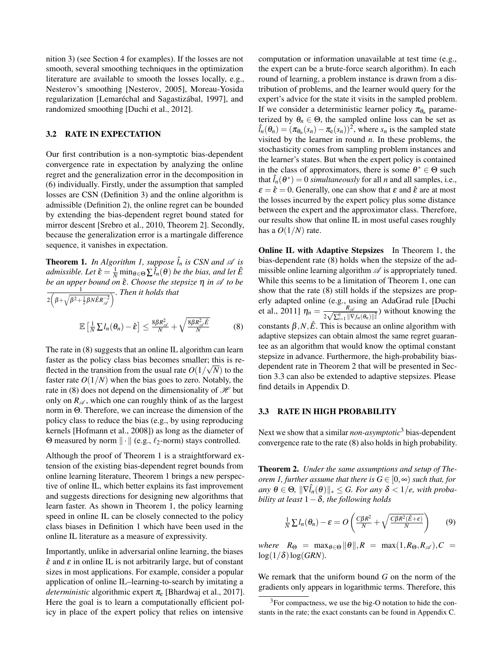nition [3\)](#page-3-6) (see Section [4](#page-6-0) for examples). If the losses are not smooth, several smoothing techniques in the optimization literature are available to smooth the losses locally, e.g., Nesterov's smoothing [\[Nesterov, 2005\]](#page-9-16), Moreau-Yosida regularization [\[Lemaréchal and Sagastizábal, 1997\]](#page-9-17), and randomized smoothing [\[Duchi et al., 2012\]](#page-8-10).

#### 3.2 RATE IN EXPECTATION

Our first contribution is a non-symptotic bias-dependent convergence rate in expectation by analyzing the online regret and the generalization error in the decomposition in [\(6\)](#page-3-2) individually. Firstly, under the assumption that sampled losses are CSN (Definition [3\)](#page-3-6) and the online algorithm is admissible (Definition [2\)](#page-3-4), the online regret can be bounded by extending the bias-dependent regret bound stated for mirror descent [\[Srebro et al., 2010,](#page-9-9) Theorem 2]. Secondly, because the generalization error is a martingale difference sequence, it vanishes in expectation.

<span id="page-4-2"></span>**Theorem 1.** In Algorithm [1,](#page-2-4) suppose  $\hat{l}_n$  is CSN and  $\mathscr A$  is  $admissible.$  Let  $\hat{\varepsilon} = \frac{1}{N} \min_{\theta \in \Theta} \sum \hat{l}_n(\theta)$  be the bias, and let  $\hat{E}$ *be an upper bound on* εˆ*. Choose the stepsize* η *in* A *to be* 1  $2\left(\beta+\sqrt{\beta^2+\frac{1}{2}\beta N\hat{E}R_{\mathscr{A}}^{-2}}\right)$ *. Then it holds that*

$$
\mathbb{E}\left[\frac{1}{N}\sum I_n(\theta_n)-\hat{\epsilon}\right]\leq \frac{8\beta R_{\mathscr{A}}^2}{N}+\sqrt{\frac{8\beta R_{\mathscr{A}}^2\hat{E}}{N}}\qquad \qquad (8)
$$

The rate in [\(8\)](#page-4-1) suggests that an online IL algorithm can learn faster as the policy class bias becomes smaller; this is reflected in the transition from the usual rate  $O(1/\sqrt{N})$  to the faster rate  $O(1/N)$  when the bias goes to zero. Notably, the rate in [\(8\)](#page-4-1) does not depend on the dimensionality of  $\mathcal H$  but only on  $R_{\mathscr{A}}$ , which one can roughly think of as the largest norm in Θ. Therefore, we can increase the dimension of the policy class to reduce the bias (e.g., by using reproducing kernels [\[Hofmann et al., 2008\]](#page-8-11)) as long as the diameter of Θ measured by norm  $\| \cdot \|$  (e.g.,  $\ell_2$ -norm) stays controlled.

Although the proof of Theorem [1](#page-4-2) is a straightforward extension of the existing bias-dependent regret bounds from online learning literature, Theorem [1](#page-4-2) brings a new perspective of online IL, which better explains its fast improvement and suggests directions for designing new algorithms that learn faster. As shown in Theorem [1,](#page-4-2) the policy learning speed in online IL can be closely connected to the policy class biases in Definition [1](#page-3-1) which have been used in the online IL literature as a measure of expressivity.

Importantly, unlike in adversarial online learning, the biases  $\hat{\epsilon}$  and  $\epsilon$  in online IL is not arbitrarily large, but of constant sizes in most applications. For example, consider a popular application of online IL–learning-to-search by imitating a *deterministic* algorithmic expert  $\pi_e$  [\[Bhardwaj et al., 2017\]](#page-8-12). Here the goal is to learn a computationally efficient policy in place of the expert policy that relies on intensive

computation or information unavailable at test time (e.g., the expert can be a brute-force search algorithm). In each round of learning, a problem instance is drawn from a distribution of problems, and the learner would query for the expert's advice for the state it visits in the sampled problem. If we consider a deterministic learner policy  $\pi_{\theta_n}$  parameterized by  $\theta_n \in \Theta$ , the sampled online loss can be set as  $\hat{l}_n(\theta_n) = (\pi_{\theta_n}(s_n) - \pi_{\mathbf{e}}(s_n))^2$ , where  $s_n$  is the sampled state visited by the learner in round *n*. In these problems, the stochasticity comes from sampling problem instances and the learner's states. But when the expert policy is contained in the class of approximators, there is some  $\theta^* \in \Theta$  such that  $\hat{l}_n(\theta^*) = 0$  *simultaneously* for all *n* and all samples, i.e.,  $\epsilon = \hat{\epsilon} = 0$ . Generally, one can show that  $\epsilon$  and  $\hat{\epsilon}$  are at most the losses incurred by the expert policy plus some distance between the expert and the approximator class. Therefore, our results show that online IL in most useful cases roughly has a  $O(1/N)$  rate.

<span id="page-4-1"></span>Online IL with Adaptive Stepsizes In Theorem [1,](#page-4-2) the bias-dependent rate [\(8\)](#page-4-1) holds when the stepsize of the admissible online learning algorithm  $\mathscr A$  is appropriately tuned. While this seems to be a limitation of Theorem [1,](#page-4-2) one can show that the rate [\(8\)](#page-4-1) still holds if the stepsizes are properly adapted online (e.g., using an AdaGrad rule [\[Duchi](#page-8-13) [et al., 2011\]](#page-8-13)  $\eta_n = \frac{R_{\text{A}}}{2 \sqrt{N_n} + \frac{R_{\text{B}}}{N_n}}$  $\frac{R_{\mathscr{A}}}{2\sqrt{\sum_{i=1}^{n}||\nabla f_n(\theta_n)||_*^2}}$ ) without knowing the constants  $\beta$ , $N$ , $\hat{E}$ . This is because an online algorithm with adaptive stepsizes can obtain almost the same regret guarantee as an algorithm that would know the optimal constant stepsize in advance. Furthermore, the high-probability biasdependent rate in Theorem [2](#page-4-3) that will be presented in Section [3.3](#page-4-0) can also be extended to adaptive stepsizes. Please find details in Appendix [D.](#page-17-0)

#### <span id="page-4-0"></span>3.3 RATE IN HIGH PROBABILITY

Next we show that a similar *non-asymptotic*[3](#page-4-4) bias-dependent convergence rate to the rate [\(8\)](#page-4-1) also holds in high probability.

<span id="page-4-3"></span>Theorem 2. *Under the same assumptions and setup of Theorem 1,* further assume that there is  $G \in [0, \infty)$  such that, for  $\langle \textit{any } \theta \in \Theta, \|\nabla \hat{l}_n(\theta)\|_{*} \leq G.$  For any  $\delta < 1/e$ , with proba*bility at least* 1−δ*, the following holds*

<span id="page-4-5"></span>
$$
\frac{1}{N}\sum l_n(\theta_n)-\varepsilon=O\left(\frac{C\beta R^2}{N}+\sqrt{\frac{C\beta R^2(\hat{E}+\varepsilon)}{N}}\right) \qquad (9)
$$

*where*  $R_{\Theta}$  =  $\max_{\theta \in \Theta} ||\theta||$ ,  $R$  =  $\max(1, R_{\Theta}, R_{\mathcal{A}})$ ,  $C$  =  $log(1/\delta)log(GRN)$ .

We remark that the uniform bound *G* on the norm of the gradients only appears in logarithmic terms. Therefore, this

<span id="page-4-4"></span><sup>&</sup>lt;sup>3</sup>For compactness, we use the big-O notation to hide the constants in the rate; the exact constants can be found in Appendix [C.](#page-13-0)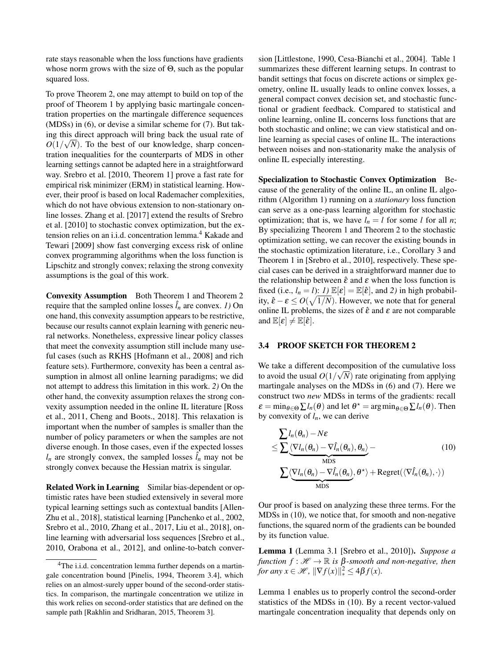rate stays reasonable when the loss functions have gradients whose norm grows with the size of Θ, such as the popular squared loss.

To prove Theorem [2,](#page-4-3) one may attempt to build on top of the proof of Theorem [1](#page-4-2) by applying basic martingale concentration properties on the martingale difference sequences (MDSs) in [\(6\)](#page-3-2), or devise a similar scheme for [\(7\)](#page-3-3). But taking this direct approach will bring back the usual rate of  $O(1/\sqrt{N})$ . To the best of our knowledge, sharp concentration inequalities for the counterparts of MDS in other learning settings cannot be adapted here in a straightforward way. [Srebro et al.](#page-9-9) [\[2010,](#page-9-9) Theorem 1] prove a fast rate for empirical risk minimizer (ERM) in statistical learning. However, their proof is based on local Rademacher complexities, which do not have obvious extension to non-stationary online losses. [Zhang et al.](#page-10-0) [\[2017\]](#page-10-0) extend the results of [Srebro](#page-9-9) [et al.](#page-9-9) [\[2010\]](#page-9-9) to stochastic convex optimization, but the extension relies on an i.i.d. concentration lemma.[4](#page-5-0) [Kakade and](#page-8-14) [Tewari](#page-8-14) [\[2009\]](#page-8-14) show fast converging excess risk of online convex programming algorithms when the loss function is Lipschitz and strongly convex; relaxing the strong convexity assumptions is the goal of this work.

Convexity Assumption Both Theorem [1](#page-4-2) and Theorem [2](#page-4-3) require that the sampled online losses  $\hat{l}_n$  are convex. *1*) On one hand, this convexity assumption appears to be restrictive, because our results cannot explain learning with generic neural networks. Nonetheless, expressive linear policy classes that meet the convexity assumption still include many useful cases (such as RKHS [\[Hofmann et al., 2008\]](#page-8-11) and rich feature sets). Furthermore, convexity has been a central assumption in almost all online learning paradigms; we did not attempt to address this limitation in this work. *2)* On the other hand, the convexity assumption relaxes the strong convexity assumption needed in the online IL literature [\[Ross](#page-9-0) [et al., 2011,](#page-9-0) [Cheng and Boots., 2018\]](#page-8-2). This relaxation is important when the number of samples is smaller than the number of policy parameters or when the samples are not diverse enough. In those cases, even if the expected losses  $l_n$  are strongly convex, the sampled losses  $l_n$  may not be strongly convex because the Hessian matrix is singular.

Related Work in Learning Similar bias-dependent or optimistic rates have been studied extensively in several more typical learning settings such as contextual bandits [\[Allen-](#page-8-15)[Zhu et al., 2018\]](#page-8-15), statistical learning [\[Panchenko et al., 2002,](#page-9-18) [Srebro et al., 2010,](#page-9-9) [Zhang et al., 2017,](#page-10-0) [Liu et al., 2018\]](#page-9-10), online learning with adversarial loss sequences [\[Srebro et al.,](#page-9-9) [2010,](#page-9-9) [Orabona et al., 2012\]](#page-9-19), and online-to-batch conversion [\[Littlestone, 1990,](#page-9-21) [Cesa-Bianchi et al., 2004\]](#page-8-5). Table [1](#page-6-1) summarizes these different learning setups. In contrast to bandit settings that focus on discrete actions or simplex geometry, online IL usually leads to online convex losses, a general compact convex decision set, and stochastic functional or gradient feedback. Compared to statistical and online learning, online IL concerns loss functions that are both stochastic and online; we can view statistical and online learning as special cases of online IL. The interactions between noises and non-stationarity make the analysis of online IL especially interesting.

Specialization to Stochastic Convex Optimization Because of the generality of the online IL, an online IL algorithm (Algorithm [1\)](#page-2-4) running on a *stationary* loss function can serve as a one-pass learning algorithm for stochastic optimization; that is, we have  $l_n = l$  for some *l* for all *n*; By specializing Theorem [1](#page-4-2) and Theorem [2](#page-4-3) to the stochastic optimization setting, we can recover the existing bounds in the stochastic optimization literature, i.e., Corollary 3 and Theorem 1 in [\[Srebro et al., 2010\]](#page-9-9), respectively. These special cases can be derived in a straightforward manner due to the relationship between  $\hat{\varepsilon}$  and  $\varepsilon$  when the loss function is fixed (i.e.,  $l_n = l$ ): *l*)  $\mathbb{E}[\varepsilon] = \mathbb{E}[\hat{\varepsilon}]$ , and *2*) in high probability,  $\hat{\varepsilon} - \varepsilon \le O(\sqrt{1/N})$ . However, we note that for general online IL problems, the sizes of  $\hat{\epsilon}$  and  $\epsilon$  are not comparable and  $\mathbb{E}[\varepsilon] \neq \mathbb{E}[\hat{\varepsilon}].$ 

#### 3.4 PROOF SKETCH FOR THEOREM 2

We take a different decomposition of the cumulative loss to avoid the usual  $O(1/\sqrt{N})$  rate originating from applying martingale analyses on the MDSs in [\(6\)](#page-3-2) and [\(7\)](#page-3-3). Here we construct two *new* MDSs in terms of the gradients: recall  $\varepsilon = \min_{\theta \in \Theta} \sum l_n(\theta)$  and let  $\theta^* = \arg \min_{\theta \in \Theta} \sum l_n(\theta)$ . Then by convexity of  $l_n$ , we can derive

<span id="page-5-1"></span>
$$
\geq \sum l_n(\theta_n) - N\varepsilon
$$
\n
$$
\leq \sum \langle \nabla l_n(\theta_n) - \nabla \hat{l}_n(\theta_n), \theta_n \rangle -
$$
\n
$$
\sum \langle \nabla l_n(\theta_n) - \nabla \hat{l}_n(\theta_n), \theta^* \rangle + \text{Regret}(\langle \nabla \hat{l}_n(\theta_n), \cdot \rangle)
$$
\n
$$
\leq \sum \langle \nabla l_n(\theta_n) - \nabla \hat{l}_n(\theta_n), \theta^* \rangle + \text{Regret}(\langle \nabla \hat{l}_n(\theta_n), \cdot \rangle)
$$

Our proof is based on analyzing these three terms. For the MDSs in [\(10\)](#page-5-1), we notice that, for smooth and non-negative functions, the squared norm of the gradients can be bounded by its function value.

<span id="page-5-2"></span>Lemma 1 (Lemma 3.1 [\[Srebro et al., 2010\]](#page-9-9)). *Suppose a function*  $f : \mathcal{H} \to \mathbb{R}$  *is*  $\beta$ -*smooth and non-negative, then for any*  $x \in \mathcal{H}$ ,  $\|\nabla f(x)\|_{*}^{2} \leq 4\beta f(x)$ *.* 

Lemma [1](#page-5-2) enables us to properly control the second-order statistics of the MDSs in [\(10\)](#page-5-1). By a recent vector-valued martingale concentration inequality that depends only on

<span id="page-5-0"></span><sup>&</sup>lt;sup>4</sup>The i.i.d. concentration lemma further depends on a martingale concentration bound [\[Pinelis, 1994,](#page-9-20) Theorem 3.4], which relies on an almost-surely upper bound of the second-order statistics. In comparison, the martingale concentration we utilize in this work relies on second-order statistics that are defined on the sample path [\[Rakhlin and Sridharan, 2015,](#page-9-12) Theorem 3].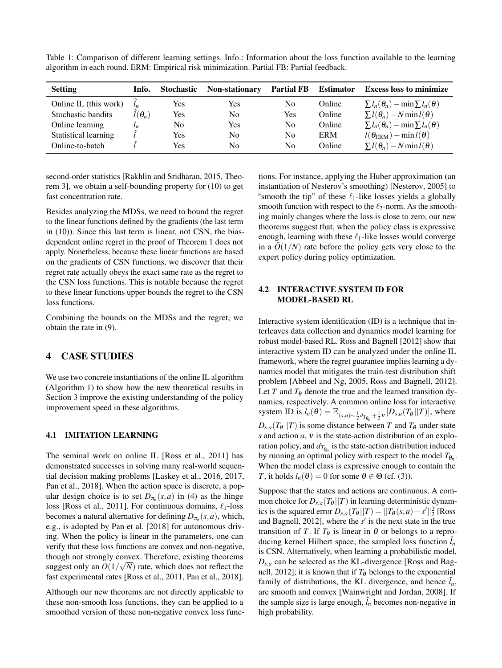| algorithm in each round. ERM: Empirical risk minimization. Partial FB: Partial feedback. |  |     |     |     |        |                                                                              |  |  |
|------------------------------------------------------------------------------------------|--|-----|-----|-----|--------|------------------------------------------------------------------------------|--|--|
| Setting                                                                                  |  |     |     |     |        | Info. Stochastic Non-stationary Partial FB Estimator Excess loss to minimize |  |  |
| Online IL (this work) $\hat{l}_n$                                                        |  | Yes | Yes | No. | Online | $\sum l_n(\theta_n) - \min \sum l_n(\theta)$                                 |  |  |

Stochastic bandits  $\hat{l}(\theta_n)$  Yes No Yes Online  $\sum l(\theta_n) - N \min l(\theta)$ <br>Online learning  $l_n$  No Yes No Online  $\sum l_n(\theta_n) - \min \sum l_n(\theta_n)$ Online learning *l<sub>n</sub>* No Yes No Online  $\sum l_n(\theta_n) - \min \sum l_n(\theta)$ <br>Statistical learning  $\hat{l}$  Yes No No ERM  $l(\theta_{\text{ERM}}) - \min l(\theta)$ Statistical learning  $\hat{l}$  Yes No No ERM  $l(\theta_{\text{ERM}}) - \min l(\theta)$ <br>Online-to-batch  $\hat{l}$  Yes No No Online  $\sum l(\theta_n) - N \min l(\theta)$ 

<span id="page-6-1"></span>Table 1: Comparison of different learning settings. Info.: Information about the loss function available to the learning algorithm in each round. ERM: Empirical risk minimization. Partial FB: Partial feedback.

second-order statistics [\[Rakhlin and Sridharan, 2015,](#page-9-12) Theorem 3], we obtain a self-bounding property for [\(10\)](#page-5-1) to get fast concentration rate.

Besides analyzing the MDSs, we need to bound the regret to the linear functions defined by the gradients (the last term in [\(10\)](#page-5-1)). Since this last term is linear, not CSN, the biasdependent online regret in the proof of Theorem [1](#page-4-2) does not apply. Nonetheless, because these linear functions are based on the gradients of CSN functions, we discover that their regret rate actually obeys the exact same rate as the regret to the CSN loss functions. This is notable because the regret to these linear functions upper bounds the regret to the CSN loss functions.

Combining the bounds on the MDSs and the regret, we obtain the rate in [\(9\)](#page-4-5).

# <span id="page-6-0"></span>4 CASE STUDIES

We use two concrete instantiations of the online IL algorithm (Algorithm [1\)](#page-2-4) to show how the new theoretical results in Section [3](#page-3-7) improve the existing understanding of the policy improvement speed in these algorithms.

#### 4.1 IMITATION LEARNING

The seminal work on online IL [\[Ross et al., 2011\]](#page-9-0) has demonstrated successes in solving many real-world sequential decision making problems [\[Laskey et al., 2016,](#page-8-8) [2017,](#page-8-16) [Pan et al., 2018\]](#page-9-3). When the action space is discrete, a popular design choice is to set  $D_{\pi_e}(s, a)$  in [\(4\)](#page-2-2) as the hinge loss [\[Ross et al., 2011\]](#page-9-0). For continuous domains,  $\ell_1$ -loss becomes a natural alternative for defining  $D_{\pi_e}(s, a)$ , which, e.g., is adopted by [Pan et al.](#page-9-3) [\[2018\]](#page-9-3) for autonomous driving. When the policy is linear in the parameters, one can verify that these loss functions are convex and non-negative, though not strongly convex. Therefore, existing theorems suggest only an  $O(1/\sqrt{N})$  rate, which does not reflect the fast experimental rates [\[Ross et al., 2011,](#page-9-0) [Pan et al., 2018\]](#page-9-3).

Although our new theorems are not directly applicable to these non-smooth loss functions, they can be applied to a smoothed version of these non-negative convex loss func-

tions. For instance, applying the Huber approximation (an instantiation of Nesterov's smoothing) [\[Nesterov, 2005\]](#page-9-16) to "smooth the tip" of these  $\ell_1$ -like losses yields a globally smooth function with respect to the  $\ell_2$ -norm. As the smoothing mainly changes where the loss is close to zero, our new theorems suggest that, when the policy class is expressive enough, learning with these  $\ell_1$ -like losses would converge in a  $\tilde{O}(1/N)$  rate before the policy gets very close to the expert policy during policy optimization.

 $\sum l(\theta_n) - N \min l(\theta)$ 

### 4.2 INTERACTIVE SYSTEM ID FOR MODEL-BASED RL

Interactive system identification (ID) is a technique that interleaves data collection and dynamics model learning for robust model-based RL. [Ross and Bagnell](#page-9-5) [\[2012\]](#page-9-5) show that interactive system ID can be analyzed under the online IL framework, where the regret guarantee implies learning a dynamics model that mitigates the train-test distribution shift problem [\[Abbeel and Ng, 2005,](#page-8-17) [Ross and Bagnell, 2012\]](#page-9-5). Let *T* and  $T_{\theta}$  denote the true and the learned transition dynamics, respectively. A common online loss for interactive system ID is  $l_n(\theta) = \mathbb{E}_{(s,a)\sim \frac{1}{2}d_{T_{\theta_n}} + \frac{1}{2}v} [D_{s,a}(T_{\theta}||T)]$ , where  $D_{s,a}(T_{\theta}||T)$  is some distance between *T* and  $T_{\theta}$  under state *s* and action *a*, ν is the state-action distribution of an exploration policy, and  $d_{T_{\theta_n}}$  is the state-action distribution induced by running an optimal policy with respect to the model  $T_{\theta_n}$ . When the model class is expressive enough to contain the *T*, it holds  $l_n(\theta) = 0$  for some  $\theta \in \Theta$  (cf. [\(3\)](#page-2-1)).

Suppose that the states and actions are continuous. A common choice for  $D_{s,a}(T_{\theta}||T)$  in learning deterministic dynamics is the squared error  $D_{s,a}(T_{\theta}||T) = ||T_{\theta}(s,a) - s'||_2^2$  [\[Ross](#page-9-5) [and Bagnell, 2012\]](#page-9-5), where the  $s'$  is the next state in the true transition of *T*. If  $T_{\theta}$  is linear in  $\theta$  or belongs to a reproducing kernel Hilbert space, the sampled loss function  $\hat{l}_n$ is CSN. Alternatively, when learning a probabilistic model,  $D_{s,a}$  can be selected as the KL-divergence [\[Ross and Bag](#page-9-5)[nell, 2012\]](#page-9-5); it is known that if  $T_{\theta}$  belongs to the exponential family of distributions, the KL divergence, and hence  $\hat{l}_n$ , are smooth and convex [\[Wainwright and Jordan, 2008\]](#page-9-22). If the sample size is large enough,  $\hat{l}_n$  becomes non-negative in high probability.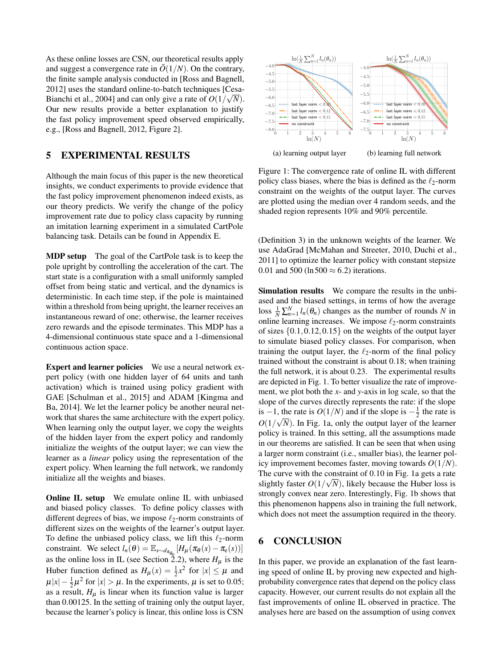As these online losses are CSN, our theoretical results apply and suggest a convergence rate in  $\tilde{O}(1/N)$ . On the contrary, the finite sample analysis conducted in [\[Ross and Bagnell,](#page-9-5) [2012\]](#page-9-5) uses the standard online-to-batch techniques [\[Cesa-](#page-8-5)[Bianchi et al., 2004\]](#page-8-5) and can only give a rate of  $O(1/\sqrt{N})$ . Our new results provide a better explanation to justify the fast policy improvement speed observed empirically, e.g., [\[Ross and Bagnell, 2012,](#page-9-5) Figure 2].

# <span id="page-7-0"></span>5 EXPERIMENTAL RESULTS

Although the main focus of this paper is the new theoretical insights, we conduct experiments to provide evidence that the fast policy improvement phenomenon indeed exists, as our theory predicts. We verify the change of the policy improvement rate due to policy class capacity by running an imitation learning experiment in a simulated CartPole balancing task. Details can be found in Appendix [E.](#page-19-0)

MDP setup The goal of the CartPole task is to keep the pole upright by controlling the acceleration of the cart. The start state is a configuration with a small uniformly sampled offset from being static and vertical, and the dynamics is deterministic. In each time step, if the pole is maintained within a threshold from being upright, the learner receives an instantaneous reward of one; otherwise, the learner receives zero rewards and the episode terminates. This MDP has a 4-dimensional continuous state space and a 1-dimensional continuous action space.

Expert and learner policies We use a neural network expert policy (with one hidden layer of 64 units and tanh activation) which is trained using policy gradient with GAE [\[Schulman et al., 2015\]](#page-9-23) and ADAM [\[Kingma and](#page-8-18) [Ba, 2014\]](#page-8-18). We let the learner policy be another neural network that shares the same architecture with the expert policy. When learning only the output layer, we copy the weights of the hidden layer from the expert policy and randomly initialize the weights of the output layer; we can view the learner as a *linear* policy using the representation of the expert policy. When learning the full network, we randomly initialize all the weights and biases.

**Online IL setup** We emulate online IL with unbiased and biased policy classes. To define policy classes with different degrees of bias, we impose  $\ell_2$ -norm constraints of different sizes on the weights of the learner's output layer. To define the unbiased policy class, we lift this  $\ell_2$ -norm constraint. We select  $l_n(\theta) = \mathbb{E}_{s \sim d_{\pi_{\theta_n}}}[H_\mu(\pi_\theta(s) - \pi_\theta(s))]$ as the online loss in IL (see Section [2.2\)](#page-2-5), where  $H_{\mu}$  is the Huber function defined as  $H_{\mu}(x) = \frac{1}{2}x^2$  for  $|x| \le \mu$  and  $\mu|x| - \frac{1}{2}\mu^2$  for  $|x| > \mu$ . In the experiments,  $\mu$  is set to 0.05; as a result,  $H_{\mu}$  is linear when its function value is larger than 0.00125. In the setting of training only the output layer, **SEXUAL TEXT ANDER SECULAR INTERNATION** (a)  $\frac{1}{2} \frac{1}{2} \frac{1}{2} \frac{1}{2} \frac{1}{2} \frac{1}{2} \frac{1}{2} \frac{1}{2} \frac{1}{2} \frac{1}{2} \frac{1}{2} \frac{1}{2} \frac{1}{2} \frac{1}{2} \frac{1}{2} \frac{1}{2} \frac{1}{2} \frac{1}{2} \frac{1}{2} \frac{1}{2} \frac{1}{2} \frac{1}{2} \frac{1}{2} \frac{1}{2} \frac{1}{2} \$ 

<span id="page-7-1"></span>

(a) learning output layer

(b) learning full network

Figure 1: The convergence rate of online IL with different policy class biases, where the bias is defined as the  $\ell_2$ -norm constraint on the weights of the output layer. The curves are plotted using the median over 4 random seeds, and the shaded region represents 10% and 90% percentile.

(Definition [3\)](#page-3-6) in the unknown weights of the learner. We use AdaGrad [\[McMahan and Streeter, 2010,](#page-9-24) [Duchi et al.,](#page-8-13) [2011\]](#page-8-13) to optimize the learner policy with constant stepsize 0.01 and 500 (ln 500  $\approx$  6.2) iterations.

Simulation results We compare the results in the unbiased and the biased settings, in terms of how the average loss  $\frac{1}{N} \sum_{n=1}^{N} l_n(\theta_n)$  changes as the number of rounds *N* in online learning increases. We impose  $\ell_2$ -norm constraints of sizes  $\{0.1, 0.12, 0.15\}$  on the weights of the output layer to simulate biased policy classes. For comparison, when training the output layer, the  $\ell_2$ -norm of the final policy trained without the constraint is about 0.18; when training the full network, it is about 0.23. The experimental results are depicted in Fig. [1.](#page-7-1) To better visualize the rate of improvement, we plot both the *x*- and *y*-axis in log scale, so that the slope of the curves directly represents the rate: if the slope is −1, the rate is  $O(1/N)$  and if the slope is  $-\frac{1}{2}$  the rate is  $O(1/\sqrt{N})$ . In Fig. [1a,](#page-7-1) only the output layer of the learner policy is trained. In this setting, all the assumptions made in our theorems are satisfied. It can be seen that when using a larger norm constraint (i.e., smaller bias), the learner policy improvement becomes faster, moving towards *O*(1/*N*). The curve with the constraint of 0.10 in Fig. [1a](#page-7-1) gets a rate slightly faster  $O(1/\sqrt{N})$ , likely because the Huber loss is strongly convex near zero. Interestingly, Fig. [1b](#page-7-1) shows that this phenomenon happens also in training the full network, which does not meet the assumption required in the theory.

# 6 CONCLUSION

In this paper, we provide an explanation of the fast learning speed of online IL by proving new expected and highprobability convergence rates that depend on the policy class capacity. However, our current results do not explain all the fast improvements of online IL observed in practice. The analyses here are based on the assumption of using convex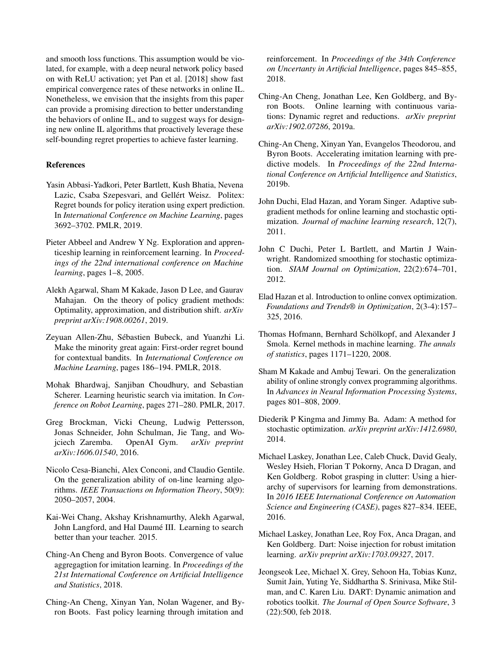and smooth loss functions. This assumption would be violated, for example, with a deep neural network policy based on with ReLU activation; yet [Pan et al.](#page-9-3) [\[2018\]](#page-9-3) show fast empirical convergence rates of these networks in online IL. Nonetheless, we envision that the insights from this paper can provide a promising direction to better understanding the behaviors of online IL, and to suggest ways for designing new online IL algorithms that proactively leverage these self-bounding regret properties to achieve faster learning.

#### References

- <span id="page-8-7"></span>Yasin Abbasi-Yadkori, Peter Bartlett, Kush Bhatia, Nevena Lazic, Csaba Szepesvari, and Gellért Weisz. Politex: Regret bounds for policy iteration using expert prediction. In *International Conference on Machine Learning*, pages 3692–3702. PMLR, 2019.
- <span id="page-8-17"></span>Pieter Abbeel and Andrew Y Ng. Exploration and apprenticeship learning in reinforcement learning. In *Proceedings of the 22nd international conference on Machine learning*, pages 1–8, 2005.
- <span id="page-8-6"></span>Alekh Agarwal, Sham M Kakade, Jason D Lee, and Gaurav Mahajan. On the theory of policy gradient methods: Optimality, approximation, and distribution shift. *arXiv preprint arXiv:1908.00261*, 2019.
- <span id="page-8-15"></span>Zeyuan Allen-Zhu, Sébastien Bubeck, and Yuanzhi Li. Make the minority great again: First-order regret bound for contextual bandits. In *International Conference on Machine Learning*, pages 186–194. PMLR, 2018.
- <span id="page-8-12"></span>Mohak Bhardwaj, Sanjiban Choudhury, and Sebastian Scherer. Learning heuristic search via imitation. In *Conference on Robot Learning*, pages 271–280. PMLR, 2017.
- <span id="page-8-19"></span>Greg Brockman, Vicki Cheung, Ludwig Pettersson, Jonas Schneider, John Schulman, Jie Tang, and Wojciech Zaremba. OpenAI Gym. *arXiv preprint arXiv:1606.01540*, 2016.
- <span id="page-8-5"></span>Nicolo Cesa-Bianchi, Alex Conconi, and Claudio Gentile. On the generalization ability of on-line learning algorithms. *IEEE Transactions on Information Theory*, 50(9): 2050–2057, 2004.
- <span id="page-8-1"></span>Kai-Wei Chang, Akshay Krishnamurthy, Alekh Agarwal, John Langford, and Hal Daumé III. Learning to search better than your teacher. 2015.
- <span id="page-8-2"></span>Ching-An Cheng and Byron Boots. Convergence of value aggregagtion for imitation learning. In *Proceedings of the 21st International Conference on Artificial Intelligence and Statistics*, 2018.
- <span id="page-8-9"></span>Ching-An Cheng, Xinyan Yan, Nolan Wagener, and Byron Boots. Fast policy learning through imitation and

reinforcement. In *Proceedings of the 34th Conference on Uncertanty in Artificial Intelligence*, pages 845–855, 2018.

- <span id="page-8-4"></span>Ching-An Cheng, Jonathan Lee, Ken Goldberg, and Byron Boots. Online learning with continuous variations: Dynamic regret and reductions. *arXiv preprint arXiv:1902.07286*, 2019a.
- <span id="page-8-3"></span>Ching-An Cheng, Xinyan Yan, Evangelos Theodorou, and Byron Boots. Accelerating imitation learning with predictive models. In *Proceedings of the 22nd International Conference on Artificial Intelligence and Statistics*, 2019b.
- <span id="page-8-13"></span>John Duchi, Elad Hazan, and Yoram Singer. Adaptive subgradient methods for online learning and stochastic optimization. *Journal of machine learning research*, 12(7), 2011.
- <span id="page-8-10"></span>John C Duchi, Peter L Bartlett, and Martin J Wainwright. Randomized smoothing for stochastic optimization. *SIAM Journal on Optimization*, 22(2):674–701, 2012.
- <span id="page-8-0"></span>Elad Hazan et al. Introduction to online convex optimization. *Foundations and Trends® in Optimization*, 2(3-4):157– 325, 2016.
- <span id="page-8-11"></span>Thomas Hofmann, Bernhard Schölkopf, and Alexander J Smola. Kernel methods in machine learning. *The annals of statistics*, pages 1171–1220, 2008.
- <span id="page-8-14"></span>Sham M Kakade and Ambuj Tewari. On the generalization ability of online strongly convex programming algorithms. In *Advances in Neural Information Processing Systems*, pages 801–808, 2009.
- <span id="page-8-18"></span>Diederik P Kingma and Jimmy Ba. Adam: A method for stochastic optimization. *arXiv preprint arXiv:1412.6980*, 2014.
- <span id="page-8-8"></span>Michael Laskey, Jonathan Lee, Caleb Chuck, David Gealy, Wesley Hsieh, Florian T Pokorny, Anca D Dragan, and Ken Goldberg. Robot grasping in clutter: Using a hierarchy of supervisors for learning from demonstrations. In *2016 IEEE International Conference on Automation Science and Engineering (CASE)*, pages 827–834. IEEE, 2016.
- <span id="page-8-16"></span>Michael Laskey, Jonathan Lee, Roy Fox, Anca Dragan, and Ken Goldberg. Dart: Noise injection for robust imitation learning. *arXiv preprint arXiv:1703.09327*, 2017.
- <span id="page-8-20"></span>Jeongseok Lee, Michael X. Grey, Sehoon Ha, Tobias Kunz, Sumit Jain, Yuting Ye, Siddhartha S. Srinivasa, Mike Stilman, and C. Karen Liu. DART: Dynamic animation and robotics toolkit. *The Journal of Open Source Software*, 3 (22):500, feb 2018.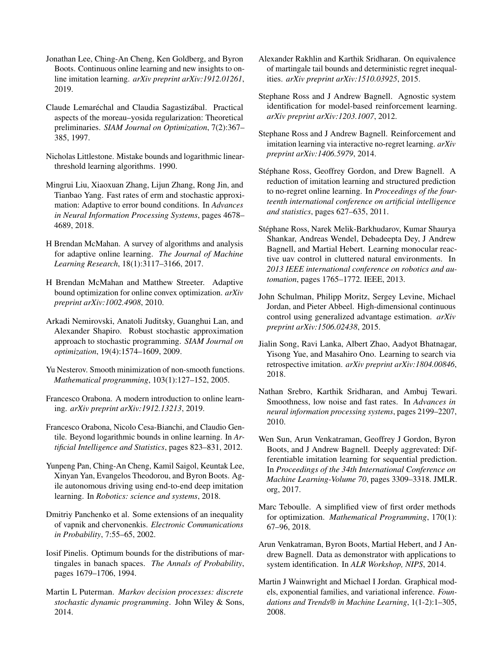- <span id="page-9-8"></span>Jonathan Lee, Ching-An Cheng, Ken Goldberg, and Byron Boots. Continuous online learning and new insights to online imitation learning. *arXiv preprint arXiv:1912.01261*, 2019.
- <span id="page-9-17"></span>Claude Lemaréchal and Claudia Sagastizábal. Practical aspects of the moreau–yosida regularization: Theoretical preliminaries. *SIAM Journal on Optimization*, 7(2):367– 385, 1997.
- <span id="page-9-21"></span>Nicholas Littlestone. Mistake bounds and logarithmic linearthreshold learning algorithms. 1990.
- <span id="page-9-10"></span>Mingrui Liu, Xiaoxuan Zhang, Lijun Zhang, Rong Jin, and Tianbao Yang. Fast rates of erm and stochastic approximation: Adaptive to error bound conditions. In *Advances in Neural Information Processing Systems*, pages 4678– 4689, 2018.
- <span id="page-9-14"></span>H Brendan McMahan. A survey of algorithms and analysis for adaptive online learning. *The Journal of Machine Learning Research*, 18(1):3117–3166, 2017.
- <span id="page-9-24"></span>H Brendan McMahan and Matthew Streeter. Adaptive bound optimization for online convex optimization. *arXiv preprint arXiv:1002.4908*, 2010.
- <span id="page-9-15"></span>Arkadi Nemirovski, Anatoli Juditsky, Guanghui Lan, and Alexander Shapiro. Robust stochastic approximation approach to stochastic programming. *SIAM Journal on optimization*, 19(4):1574–1609, 2009.
- <span id="page-9-16"></span>Yu Nesterov. Smooth minimization of non-smooth functions. *Mathematical programming*, 103(1):127–152, 2005.
- <span id="page-9-11"></span>Francesco Orabona. A modern introduction to online learning. *arXiv preprint arXiv:1912.13213*, 2019.
- <span id="page-9-19"></span>Francesco Orabona, Nicolo Cesa-Bianchi, and Claudio Gentile. Beyond logarithmic bounds in online learning. In *Artificial Intelligence and Statistics*, pages 823–831, 2012.
- <span id="page-9-3"></span>Yunpeng Pan, Ching-An Cheng, Kamil Saigol, Keuntak Lee, Xinyan Yan, Evangelos Theodorou, and Byron Boots. Agile autonomous driving using end-to-end deep imitation learning. In *Robotics: science and systems*, 2018.
- <span id="page-9-18"></span>Dmitriy Panchenko et al. Some extensions of an inequality of vapnik and chervonenkis. *Electronic Communications in Probability*, 7:55–65, 2002.
- <span id="page-9-20"></span>Iosif Pinelis. Optimum bounds for the distributions of martingales in banach spaces. *The Annals of Probability*, pages 1679–1706, 1994.
- <span id="page-9-13"></span>Martin L Puterman. *Markov decision processes: discrete stochastic dynamic programming*. John Wiley & Sons, 2014.
- <span id="page-9-12"></span>Alexander Rakhlin and Karthik Sridharan. On equivalence of martingale tail bounds and deterministic regret inequalities. *arXiv preprint arXiv:1510.03925*, 2015.
- <span id="page-9-5"></span>Stephane Ross and J Andrew Bagnell. Agnostic system identification for model-based reinforcement learning. *arXiv preprint arXiv:1203.1007*, 2012.
- <span id="page-9-6"></span>Stephane Ross and J Andrew Bagnell. Reinforcement and imitation learning via interactive no-regret learning. *arXiv preprint arXiv:1406.5979*, 2014.
- <span id="page-9-0"></span>Stéphane Ross, Geoffrey Gordon, and Drew Bagnell. A reduction of imitation learning and structured prediction to no-regret online learning. In *Proceedings of the fourteenth international conference on artificial intelligence and statistics*, pages 627–635, 2011.
- <span id="page-9-2"></span>Stéphane Ross, Narek Melik-Barkhudarov, Kumar Shaurya Shankar, Andreas Wendel, Debadeepta Dey, J Andrew Bagnell, and Martial Hebert. Learning monocular reactive uav control in cluttered natural environments. In *2013 IEEE international conference on robotics and automation*, pages 1765–1772. IEEE, 2013.
- <span id="page-9-23"></span>John Schulman, Philipp Moritz, Sergey Levine, Michael Jordan, and Pieter Abbeel. High-dimensional continuous control using generalized advantage estimation. *arXiv preprint arXiv:1506.02438*, 2015.
- <span id="page-9-7"></span>Jialin Song, Ravi Lanka, Albert Zhao, Aadyot Bhatnagar, Yisong Yue, and Masahiro Ono. Learning to search via retrospective imitation. *arXiv preprint arXiv:1804.00846*, 2018.
- <span id="page-9-9"></span>Nathan Srebro, Karthik Sridharan, and Ambuj Tewari. Smoothness, low noise and fast rates. In *Advances in neural information processing systems*, pages 2199–2207, 2010.
- <span id="page-9-1"></span>Wen Sun, Arun Venkatraman, Geoffrey J Gordon, Byron Boots, and J Andrew Bagnell. Deeply aggrevated: Differentiable imitation learning for sequential prediction. In *Proceedings of the 34th International Conference on Machine Learning-Volume 70*, pages 3309–3318. JMLR. org, 2017.
- <span id="page-9-25"></span>Marc Teboulle. A simplified view of first order methods for optimization. *Mathematical Programming*, 170(1): 67–96, 2018.
- <span id="page-9-4"></span>Arun Venkatraman, Byron Boots, Martial Hebert, and J Andrew Bagnell. Data as demonstrator with applications to system identification. In *ALR Workshop, NIPS*, 2014.
- <span id="page-9-22"></span>Martin J Wainwright and Michael I Jordan. Graphical models, exponential families, and variational inference. *Foundations and Trends® in Machine Learning*, 1(1-2):1–305, 2008.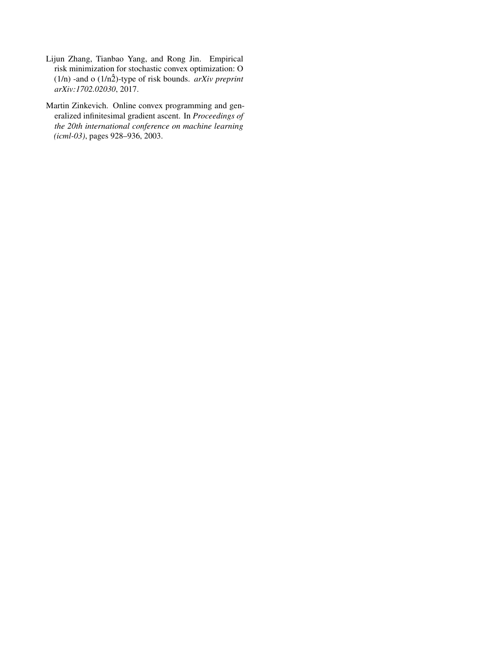- <span id="page-10-0"></span>Lijun Zhang, Tianbao Yang, and Rong Jin. Empirical risk minimization for stochastic convex optimization: O ( $1/n$ ) -and o ( $1/n\hat{2}$ )-type of risk bounds. *arXiv preprint arXiv:1702.02030*, 2017.
- <span id="page-10-1"></span>Martin Zinkevich. Online convex programming and generalized infinitesimal gradient ascent. In *Proceedings of the 20th international conference on machine learning (icml-03)*, pages 928–936, 2003.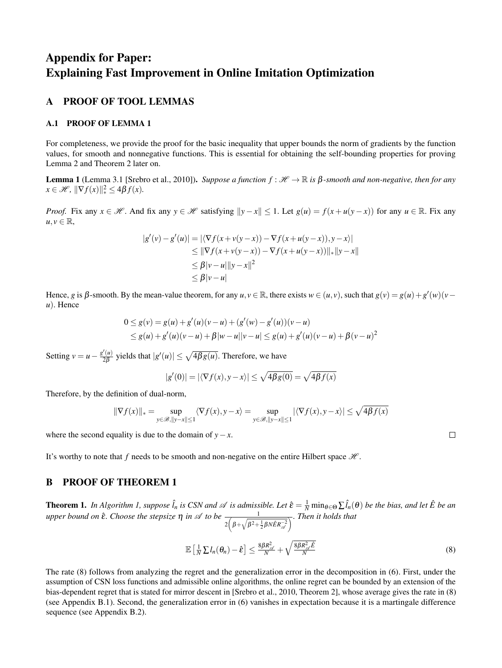# Appendix for Paper: Explaining Fast Improvement in Online Imitation Optimization

# A PROOF OF TOOL LEMMAS

#### A.1 PROOF OF LEMMA 1

For completeness, we provide the proof for the basic inequality that upper bounds the norm of gradients by the function values, for smooth and nonnegative functions. This is essential for obtaining the self-bounding properties for proving Lemma [2](#page-12-0) and Theorem [2](#page-4-3) later on.

**Lemma 1** (Lemma 3.1 [\[Srebro et al., 2010\]](#page-9-9)). *Suppose a function*  $f : \mathcal{H} \to \mathbb{R}$  *is*  $\beta$ -*smooth and non-negative, then for any*  $x \in \mathcal{H}$ ,  $\|\nabla f(x)\|_{*}^{2} \leq 4\beta f(x)$ *.* 

*Proof.* Fix any  $x \in \mathcal{H}$ . And fix any  $y \in \mathcal{H}$  satisfying  $||y - x|| \le 1$ . Let  $g(u) = f(x + u(y - x))$  for any  $u \in \mathbb{R}$ . Fix any  $u, v \in \mathbb{R}$ ,

$$
|g'(v) - g'(u)| = |\langle \nabla f(x + v(y - x)) - \nabla f(x + u(y - x)), y - x \rangle|
$$
  
\n
$$
\leq ||\nabla f(x + v(y - x)) - \nabla f(x + u(y - x))||_*||y - x||
$$
  
\n
$$
\leq \beta |v - u||y - x||^2
$$
  
\n
$$
\leq \beta |v - u|
$$

Hence, *g* is  $\beta$ -smooth. By the mean-value theorem, for any  $u, v \in \mathbb{R}$ , there exists  $w \in (u, v)$ , such that  $g(v) = g(u) + g'(w)(v - w)$ *u*). Hence

$$
0 \le g(v) = g(u) + g'(u)(v - u) + (g'(w) - g'(u))(v - u)
$$
  
\n
$$
\le g(u) + g'(u)(v - u) + \beta |w - u||v - u| \le g(u) + g'(u)(v - u) + \beta (v - u)^2
$$

Setting  $v = u - \frac{g'(u)}{2\beta}$  $\frac{f'(u)}{2\beta}$  yields that  $|g'(u)| \le \sqrt{4\beta g(u)}$ . Therefore, we have

$$
|g'(0)| = |\langle \nabla f(x), y - x \rangle| \le \sqrt{4\beta g(0)} = \sqrt{4\beta f(x)}
$$

Therefore, by the definition of dual-norm,

$$
\|\nabla f(x)\|_{*}=\sup_{y\in \mathscr{B}, \|y-x\|\leq 1}\langle \nabla f(x),y-x\rangle=\sup_{y\in \mathscr{B}, \|y-x\|\leq 1}|\langle \nabla f(x),y-x\rangle|\leq \sqrt{4\beta f(x)}
$$

where the second equality is due to the domain of  $y - x$ .

It's worthy to note that f needs to be smooth and non-negative on the entire Hilbert space  $H$ .

# <span id="page-11-0"></span>B PROOF OF THEOREM 1

**Theorem 1.** In Algorithm [1,](#page-2-4) suppose  $\hat{l}_n$  is CSN and  $\mathscr A$  is admissible. Let  $\hat{\epsilon} = \frac{1}{N} \min_{\theta \in \Theta} \sum \hat{l}_n(\theta)$  be the bias, and let  $\hat{E}$  be an *upper bound on*  $\hat{\epsilon}$ *. Choose the stepsize*  $\eta$  *in*  $\mathscr A$  *to be*  $\frac{1}{2(\beta+\sqrt{\beta^2+\frac{1}{2}\beta N\hat{E}R_{\mathscr A}^{-2}})}$ *. Then it holds that*

$$
\mathbb{E}\left[\frac{1}{N}\sum I_n(\theta_n)-\hat{\epsilon}\right] \leq \frac{8\beta R_{\mathscr{A}}^2}{N}+\sqrt{\frac{8\beta R_{\mathscr{A}}^2\hat{E}}{N}}\tag{8}
$$

The rate [\(8\)](#page-4-1) follows from analyzing the regret and the generalization error in the decomposition in [\(6\)](#page-3-2). First, under the assumption of CSN loss functions and admissible online algorithms, the online regret can be bounded by an extension of the bias-dependent regret that is stated for mirror descent in [\[Srebro et al., 2010,](#page-9-9) Theorem 2], whose average gives the rate in [\(8\)](#page-4-1) (see Appendix [B.1\)](#page-12-1). Second, the generalization error in [\(6\)](#page-3-2) vanishes in expectation because it is a martingale difference sequence (see Appendix [B.2\)](#page-13-1).

 $\Box$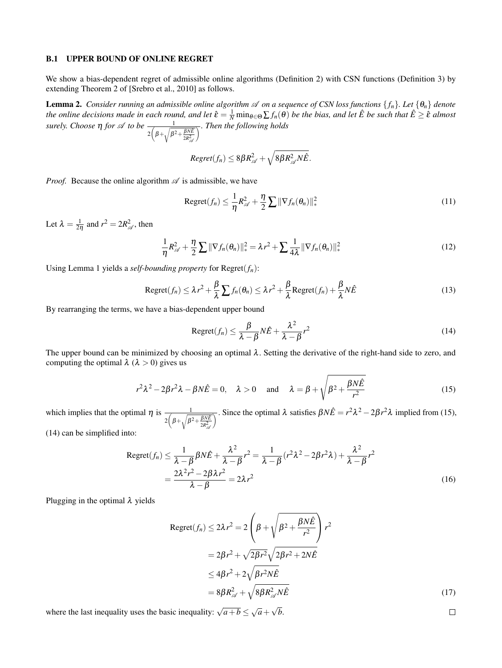#### <span id="page-12-1"></span>B.1 UPPER BOUND OF ONLINE REGRET

We show a bias-dependent regret of admissible online algorithms (Definition [2\)](#page-3-4) with CSN functions (Definition [3\)](#page-3-6) by extending Theorem 2 of [\[Srebro et al., 2010\]](#page-9-9) as follows.

<span id="page-12-0"></span>**Lemma 2.** Consider running an admissible online algorithm  $\mathscr A$  on a sequence of CSN loss functions  $\{f_n\}$ . Let  $\{\theta_n\}$  denote *the online decisions made in each round, and let*  $\hat{\epsilon} = \frac{1}{N} \min_{\theta \in \Theta} \sum f_n(\theta)$  *be the bias, and let*  $\hat{E}$  *be such that*  $\hat{E} \geq \hat{\epsilon}$  *almost surely. Choose*  $\eta$  *for*  $\mathscr A$  *to be*  $\frac{1}{2\left(\beta+\sqrt{\beta^2+\frac{\beta NE}{2R_{\mathscr A}^2}}\right)}$  $\overline{\wedge}$ *. Then the following holds* 

$$
Regret(f_n) \leq 8\beta R_{\mathcal{A}}^2 + \sqrt{8\beta R_{\mathcal{A}}^2 N \hat{E}}.
$$

*Proof.* Because the online algorithm  $\mathscr A$  is admissible, we have

$$
\text{Regret}(f_n) \leq \frac{1}{\eta} R_{\mathscr{A}}^2 + \frac{\eta}{2} \sum ||\nabla f_n(\theta_n)||_*^2
$$
\n(11)

Let  $\lambda = \frac{1}{2\eta}$  and  $r^2 = 2R_{\mathscr{A}}^2$ , then

$$
\frac{1}{\eta}R_{\mathscr{A}}^2 + \frac{\eta}{2}\sum \|\nabla f_n(\theta_n)\|_{*}^2 = \lambda r^2 + \sum \frac{1}{4\lambda} \|\nabla f_n(\theta_n)\|_{*}^2
$$
\n(12)

Using Lemma [1](#page-5-2) yields a *self-bounding property* for  $Regret(f_n)$ :

$$
\text{Regret}(f_n) \leq \lambda r^2 + \frac{\beta}{\lambda} \sum f_n(\theta_n) \leq \lambda r^2 + \frac{\beta}{\lambda} \text{Regret}(f_n) + \frac{\beta}{\lambda} N \hat{E}
$$
 (13)

By rearranging the terms, we have a bias-dependent upper bound

<span id="page-12-4"></span><span id="page-12-3"></span>
$$
\text{Regret}(f_n) \le \frac{\beta}{\lambda - \beta} N\hat{E} + \frac{\lambda^2}{\lambda - \beta} r^2 \tag{14}
$$

The upper bound can be minimized by choosing an optimal  $\lambda$ . Setting the derivative of the right-hand side to zero, and computing the optimal  $\lambda$  ( $\lambda > 0$ ) gives us

$$
r^2\lambda^2 - 2\beta r^2\lambda - \beta N\hat{E} = 0, \quad \lambda > 0 \quad \text{and} \quad \lambda = \beta + \sqrt{\beta^2 + \frac{\beta N\hat{E}}{r^2}}
$$
 (15)

which implies that the optimal  $\eta$  is  $\frac{1}{2(\beta+\sqrt{\beta^2+\frac{\beta NE}{2R_{\text{cyl}}^2}}}$  $\frac{1}{\sqrt{2}}$ . Since the optimal λ satisfies  $\beta N\hat{E} = r^2 λ^2 - 2βr^2λ$  implied from [\(15\)](#page-12-2), [\(14\)](#page-12-3) can be simplified into:

$$
\text{Regret}(f_n) \le \frac{1}{\lambda - \beta} \beta N \hat{E} + \frac{\lambda^2}{\lambda - \beta} r^2 = \frac{1}{\lambda - \beta} (r^2 \lambda^2 - 2\beta r^2 \lambda) + \frac{\lambda^2}{\lambda - \beta} r^2
$$

$$
= \frac{2\lambda^2 r^2 - 2\beta \lambda r^2}{\lambda - \beta} = 2\lambda r^2 \tag{16}
$$

Plugging in the optimal  $\lambda$  yields

$$
\begin{aligned} \text{Regret}(f_n) &\le 2\lambda r^2 = 2\left(\beta + \sqrt{\beta^2 + \frac{\beta N \hat{E}}{r^2}}\right)r^2 \\ &= 2\beta r^2 + \sqrt{2\beta r^2}\sqrt{2\beta r^2 + 2N\hat{E}} \\ &\le 4\beta r^2 + 2\sqrt{\beta r^2 N \hat{E}} \\ &= 8\beta R_{\mathcal{A}}^2 + \sqrt{8\beta R_{\mathcal{A}}^2 N \hat{E}} \end{aligned} \tag{17}
$$

<span id="page-12-5"></span><span id="page-12-2"></span> $\Box$ 

where the last inequality uses the basic inequality:  $\sqrt{a+b} \leq \sqrt{a} + \sqrt{b}$ .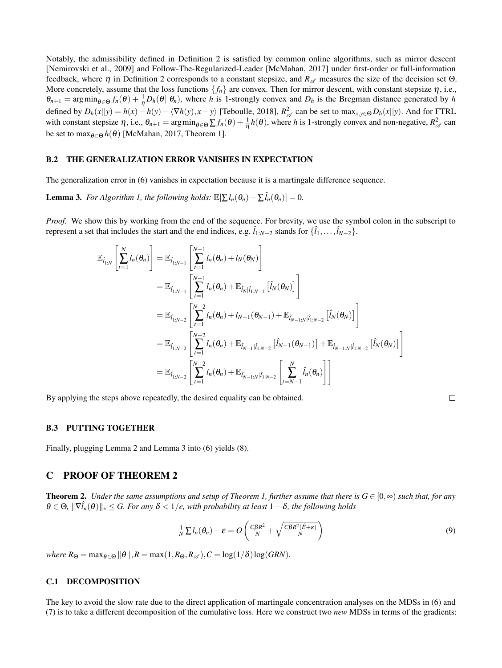Notably, the admissibility defined in Definition [2](#page-3-4) is satisfied by common online algorithms, such as mirror descent [\[Nemirovski et al., 2009\]](#page-9-15) and Follow-The-Regularized-Leader [\[McMahan, 2017\]](#page-9-14) under first-order or full-information feedback, where  $\eta$  in Definition [2](#page-3-4) corresponds to a constant stepsize, and  $R_{\mathscr{A}}$  measures the size of the decision set  $\Theta$ . More concretely, assume that the loss functions  $\{f_n\}$  are convex. Then for mirror descent, with constant stepsize  $\eta$ , i.e.,  $\theta_{n+1}$  = argmin<sub> $\theta \in \Theta$ </sub>  $f_n(\theta) + \frac{1}{\eta} D_h(\theta || \theta_n)$ , where *h* is 1-strongly convex and  $D_h$  is the Bregman distance generated by *h* defined by  $D_h(x||y) = h(x) - h(y) - \langle \nabla h(y), x - y \rangle$  [\[Teboulle, 2018\]](#page-9-25),  $R_{\mathscr{A}}^2$  can be set to  $\max_{x,y \in \Theta} D_h(x||y)$ . And for FTRL with constant stepsize  $\eta$ , i.e.,  $\theta_{n+1} = \arg \min_{\theta \in \Theta} \sum f_n(\theta) + \frac{1}{\eta} h(\theta)$ , where *h* is 1-strongly convex and non-negative,  $R^2_{\mathscr{A}}$  can be set to max $_{\theta \in \Theta} h(\theta)$  [\[McMahan, 2017,](#page-9-14) Theorem 1].

#### <span id="page-13-1"></span>B.2 THE GENERALIZATION ERROR VANISHES IN EXPECTATION

<span id="page-13-2"></span>The generalization error in [\(6\)](#page-3-2) vanishes in expectation because it is a martingale difference sequence.

**Lemma 3.** *For Algorithm [1,](#page-2-4) the following holds:*  $\mathbb{E}[\sum l_n(\theta_n) - \sum \hat{l}_n(\theta_n)] = 0$ .

*Proof.* We show this by working from the end of the sequence. For brevity, we use the symbol colon in the subscript to represent a set that includes the start and the end indices, e.g.  $\hat{l}_{1:N-2}$  stands for  $\{\hat{l}_1,\ldots,\hat{l}_{N-2}\}$ .

$$
\mathbb{E}_{\hat{I}_{1:N}}\left[\sum_{t=1}^{N} l_n(\theta_n)\right] = \mathbb{E}_{\hat{I}_{1:N-1}}\left[\sum_{t=1}^{N-1} l_n(\theta_n) + l_N(\theta_N)\right] \n= \mathbb{E}_{\hat{I}_{1:N-1}}\left[\sum_{t=1}^{N-1} l_n(\theta_n) + \mathbb{E}_{\hat{I}_N|\hat{I}_{1:N-1}}\left[\hat{I}_N(\theta_N)\right]\right] \n= \mathbb{E}_{\hat{I}_{1:N-2}}\left[\sum_{t=1}^{N-2} l_n(\theta_n) + l_{N-1}(\theta_{N-1}) + \mathbb{E}_{\hat{I}_{N-1:N}|\hat{I}_{1:N-2}}\left[\hat{I}_N(\theta_N)\right]\right] \n= \mathbb{E}_{\hat{I}_{1:N-2}}\left[\sum_{t=1}^{N-2} l_n(\theta_n) + \mathbb{E}_{\hat{I}_{N-1}|\hat{I}_{1:N-2}}\left[\hat{I}_{N-1}(\theta_{N-1})\right] + \mathbb{E}_{\hat{I}_{N-1:N}|\hat{I}_{1:N-2}}\left[\hat{I}_N(\theta_N)\right]\right] \n= \mathbb{E}_{\hat{I}_{1:N-2}}\left[\sum_{t=1}^{N-2} l_n(\theta_n) + \mathbb{E}_{\hat{I}_{N-1:N}|\hat{I}_{1:N-2}}\left[\sum_{t=N-1}^{N} \hat{I}_n(\theta_n)\right]\right]
$$

By applying the steps above repeatedly, the desired equality can be obtained.

# B.3 PUTTING TOGETHER

Finally, plugging Lemma [2](#page-12-0) and Lemma [3](#page-13-2) into [\(6\)](#page-3-2) yields [\(8\)](#page-4-1).

# <span id="page-13-0"></span>C PROOF OF THEOREM 2

**Theorem 2.** Under the same assumptions and setup of Theorem [1,](#page-4-2) further assume that there is  $G \in [0, \infty)$  such that, for any  $\theta \in \Theta$ ,  $\|\nabla \hat{l}_n(\theta)\|_* \leq G$ . For any  $\delta < 1/e$ , with probability at least  $1-\delta$ , the following holds

$$
\frac{1}{N}\sum l_n(\theta_n) - \varepsilon = O\left(\frac{C\beta R^2}{N} + \sqrt{\frac{C\beta R^2(\hat{E}+\varepsilon)}{N}}\right)
$$
\n(9)

 $\Box$ 

*where*  $R_{\Theta} = \max_{\theta \in \Theta} ||\theta||$ ,  $R = \max(1, R_{\Theta}, R_{\mathscr{A}})$ ,  $C = \log(1/\delta) \log(GRN)$ .

#### C.1 DECOMPOSITION

The key to avoid the slow rate due to the direct application of martingale concentration analyses on the MDSs in [\(6\)](#page-3-2) and [\(7\)](#page-3-3) is to take a different decomposition of the cumulative loss. Here we construct two *new* MDSs in terms of the gradients: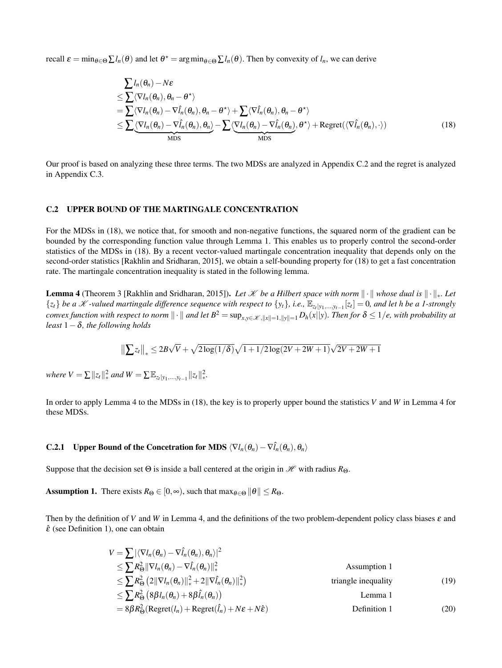recall  $\varepsilon = \min_{\theta \in \Theta} \sum l_n(\theta)$  and let  $\theta^* = \arg \min_{\theta \in \Theta} \sum l_n(\theta)$ . Then by convexity of  $l_n$ , we can derive

<span id="page-14-1"></span>
$$
\sum l_n(\theta_n) - N\varepsilon
$$
\n
$$
\leq \sum \langle \nabla l_n(\theta_n), \theta_n - \theta^* \rangle
$$
\n
$$
= \sum \langle \nabla l_n(\theta_n), \theta_n - \theta^* \rangle + \sum \langle \nabla l_n(\theta_n), \theta_n - \theta^* \rangle
$$
\n
$$
\leq \sum \langle \nabla l_n(\theta_n) - \nabla l_n(\theta_n), \theta_n \rangle - \sum \langle \nabla l_n(\theta_n) - \nabla l_n(\theta_n), \theta^* \rangle + \text{Regret}(\langle \nabla l_n(\theta_n), \cdot \rangle)
$$
\n(18)

Our proof is based on analyzing these three terms. The two MDSs are analyzed in Appendix [C.2](#page-14-0) and the regret is analyzed in Appendix [C.3.](#page-16-0)

#### <span id="page-14-0"></span>C.2 UPPER BOUND OF THE MARTINGALE CONCENTRATION

For the MDSs in [\(18\)](#page-14-1), we notice that, for smooth and non-negative functions, the squared norm of the gradient can be bounded by the corresponding function value through Lemma [1.](#page-5-2) This enables us to properly control the second-order statistics of the MDSs in [\(18\)](#page-14-1). By a recent vector-valued martingale concentration inequality that depends only on the second-order statistics [\[Rakhlin and Sridharan, 2015\]](#page-9-12), we obtain a self-bounding property for [\(18\)](#page-14-1) to get a fast concentration rate. The martingale concentration inequality is stated in the following lemma.

<span id="page-14-2"></span>**Lemma 4** (Theorem 3 [\[Rakhlin and Sridharan, 2015\]](#page-9-12)). Let X be a Hilbert space with norm  $\|\cdot\|$  whose dual is  $\|\cdot\|_*$ . Let  $\{z_t\}$  be a X-valued martingale difference sequence with respect to  $\{y_t\}$ , i.e.,  $\mathbb{E}_{z_t|y_1,\dots,y_{t-1}}[z_t]=0$ , and let h be a 1-strongly *convex function with respect to norm*  $\|\cdot\|$  *and let*  $B^2 = \sup_{x,y \in \mathcal{X}, \|x\|=1, \|y\|=1} D_h(x||y)$ . Then for  $\delta \leq 1/e$ , with probability at *least*  $1 - \delta$ *, the following holds* 

$$
\left\| \sum z_{t} \right\|_{*} \leq 2B\sqrt{V} + \sqrt{2\log(1/\delta)}\sqrt{1 + 1/2\log(2V + 2W + 1)}\sqrt{2V + 2W + 1}
$$

 $where V = \sum ||z_t||_*^2$  *and*  $W = \sum \mathbb{E}_{z_t|y_1,...,y_{t-1}} ||z_t||_*^2$ ∗ *.*

In order to apply Lemma [4](#page-14-2) to the MDSs in [\(18\)](#page-14-1), the key is to properly upper bound the statistics *V* and *W* in Lemma [4](#page-14-2) for these MDSs.

# **C.2.1** Upper Bound of the Concetration for MDS  $\langle \nabla l_n(\theta_n) - \nabla \hat{l}_n(\theta_n), \theta_n \rangle$

<span id="page-14-3"></span>Suppose that the decision set  $\Theta$  is inside a ball centered at the origin in  $\mathcal{H}$  with radius  $R_{\Theta}$ .

**Assumption 1.** There exists  $R_{\Theta} \in [0, \infty)$ , such that  $\max_{\theta \in \Theta} ||\theta|| \leq R_{\Theta}$ .

Then by the definition of *V* and *W* in Lemma [4,](#page-14-2) and the definitions of the two problem-dependent policy class biases  $\varepsilon$  and  $\hat{\varepsilon}$  (see Definition [1\)](#page-3-1), one can obtain

<span id="page-14-4"></span>
$$
V = \sum |\langle \nabla l_n(\theta_n) - \nabla \hat{l}_n(\theta_n), \theta_n \rangle|^2
$$
  
\n
$$
\leq \sum R_{\Theta}^2 ||\nabla l_n(\theta_n) - \nabla \hat{l}_n(\theta_n)||_*^2
$$
  
\n
$$
\leq \sum R_{\Theta}^2 (2||\nabla l_n(\theta_n)||_*^2 + 2||\nabla \hat{l}_n(\theta_n)||_*^2)
$$
  
\n
$$
\leq \sum R_{\Theta}^2 (8\beta l_n(\theta_n) + 8\beta \hat{l}_n(\theta_n))
$$
  
\n
$$
= 8\beta R_{\Theta}^2 (\text{Regret}(l_n) + \text{Regret}(\hat{l}_n) + N\varepsilon + N\varepsilon)
$$
  
\nDefinition 1 (20)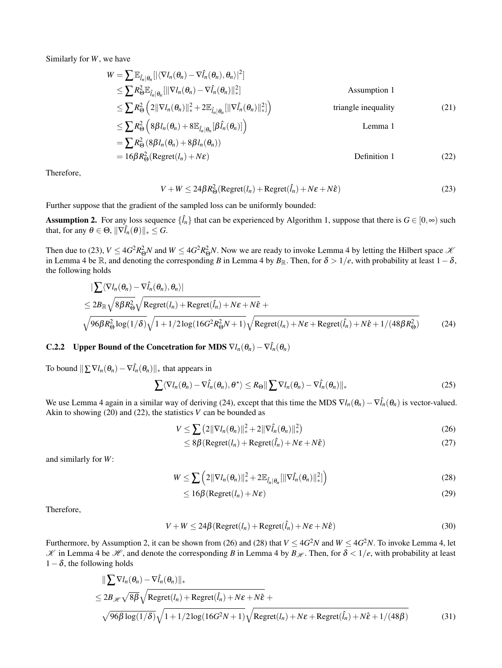Similarly for *W*, we have

$$
W = \sum \mathbb{E}_{\hat{I}_n | \theta_n} [|\langle \nabla I_n(\theta_n) - \nabla \hat{I}_n(\theta_n), \theta_n \rangle|^2]
$$
  
\n
$$
\leq \sum R_{\Theta}^2 \mathbb{E}_{\hat{I}_n | \theta_n} [|\nabla I_n(\theta_n) - \nabla \hat{I}_n(\theta_n)|_*^2]
$$
  
\n
$$
\leq \sum R_{\Theta}^2 (2||\nabla I_n(\theta_n)||_*^2 + 2\mathbb{E}_{\hat{I}_n | \theta_n} [|\nabla \hat{I}_n(\theta_n)|_*^2])
$$
  
\n
$$
\leq \sum R_{\Theta}^2 (8\beta I_n(\theta_n) + 8\mathbb{E}_{\hat{I}_n | \theta_n} [\beta \hat{I}_n(\theta_n)] )
$$
  
\n
$$
= \sum R_{\Theta}^2 (8\beta I_n(\theta_n) + 8\beta I_n(\theta_n))
$$
  
\n
$$
= 16\beta R_{\Theta}^2 (\text{Regret}(I_n) + N\epsilon)
$$
  
\nDefinition 1 (22)

Therefore,

<span id="page-15-2"></span><span id="page-15-0"></span>
$$
V + W \le 24\beta R_{\Theta}^2(\text{Regret}(l_n) + \text{Regret}(\hat{l}_n) + N\epsilon + N\hat{\epsilon})
$$
\n(23)

Further suppose that the gradient of the sampled loss can be uniformly bounded:

<span id="page-15-3"></span>**Assumption 2.** For any loss sequence  $\{\hat{l}_n\}$  that can be experienced by Algorithm [1,](#page-2-4) suppose that there is  $G \in [0, \infty)$  such that, for any  $\theta \in \Theta$ ,  $\|\nabla \hat{l}_n(\theta)\|_* \leq G$ .

Then due to [\(23\)](#page-15-0),  $V \le 4G^2 R_{\Theta}^2 N$  $V \le 4G^2 R_{\Theta}^2 N$  $V \le 4G^2 R_{\Theta}^2 N$  and  $W \le 4G^2 R_{\Theta}^2 N$ . Now we are ready to invoke Lemma 4 by letting the Hilbert space  $\mathcal{K}$ in Lemma [4](#page-14-2) be R, and denoting the corresponding *B* in Lemma 4 by  $B_{\mathbb{R}}$ . Then, for  $\delta > 1/e$ , with probability at least  $1-\delta$ , the following holds

$$
\begin{split}\n&\left|\sum \langle \nabla l_n(\theta_n) - \nabla \hat{l}_n(\theta_n), \theta_n \rangle\right| \\
&\leq 2B_{\mathbb{R}} \sqrt{8\beta R_{\Theta}^2} \sqrt{\text{Regret}(l_n) + \text{Regret}(\hat{l}_n) + N\epsilon + N\hat{\epsilon}} + \\
&\sqrt{96\beta R_{\Theta}^2 \log(1/\delta)} \sqrt{1 + 1/2 \log(16G^2 R_{\Theta}^2 N + 1)} \sqrt{\text{Regret}(l_n) + N\epsilon + \text{Regret}(\hat{l}_n) + N\hat{\epsilon} + 1/(48\beta R_{\Theta}^2)}\n\end{split} \tag{24}
$$

# **C.2.2** Upper Bound of the Concetration for MDS  $\nabla l_n(\theta_n) - \nabla \hat{l}_n(\theta_n)$

To bound  $\sum \nabla l_n(\theta_n) - \nabla \hat{l}_n(\theta_n)$ <sub>\*</sub> that appears in

$$
\sum \langle \nabla l_n(\theta_n) - \nabla \hat{l}_n(\theta_n), \theta^* \rangle \le R_{\Theta} \|\sum \nabla l_n(\theta_n) - \nabla \hat{l}_n(\theta_n)\|_{*}
$$
\n(25)

We use Lemma [4](#page-14-2) again in a similar way of deriving [\(24\)](#page-15-1), except that this time the MDS  $\nabla l_n(\theta_n) - \nabla \hat{l}_n(\theta_n)$  is vector-valued. Akin to showing  $(20)$  and  $(22)$ , the statistics *V* can be bounded as

$$
V \leq \sum (2||\nabla l_n(\theta_n)||_*^2 + 2||\nabla \hat{l}_n(\theta_n)||_*^2)
$$
\n(26)

<span id="page-15-6"></span><span id="page-15-4"></span><span id="page-15-1"></span>
$$
\leq 8\beta \left( \text{Regret}(l_n) + \text{Regret}(\hat{l}_n) + N\epsilon + N\hat{\epsilon} \right) \tag{27}
$$

and similarly for *W*:

$$
W \leq \sum \left(2\|\nabla l_n(\theta_n)\|_{*}^2 + 2\mathbb{E}_{\hat{l}_n|\theta_n}[\|\nabla \hat{l}_n(\theta_n)\|_{*}^2]\right)
$$
(28)

<span id="page-15-7"></span><span id="page-15-5"></span>
$$
\leq 16\beta \left( \text{Regret}(l_n) + N\epsilon \right) \tag{29}
$$

Therefore,

$$
V + W \le 24\beta \left( \text{Regret}(l_n) + \text{Regret}(\hat{l}_n) + N\varepsilon + N\hat{\varepsilon} \right) \tag{30}
$$

Furthermore, by Assumption [2,](#page-15-3) it can be shown from [\(26\)](#page-15-4) and [\(28\)](#page-15-5) that  $V \leq 4G^2N$  and  $W \leq 4G^2N$ . To invoke Lemma [4,](#page-14-2) let  $K$  in Lemma [4](#page-14-2) be  $\mathcal{H}$ , and denote the corresponding *B* in Lemma 4 by  $B_{\mathcal{H}}$ . Then, for  $\delta < 1/e$ , with probability at least  $1-\delta$ , the following holds

$$
\|\sum \nabla l_n(\theta_n) - \nabla \hat{l}_n(\theta_n)\|_{*}
$$
  
\n
$$
\leq 2B_{\mathscr{H}} \sqrt{8\beta} \sqrt{\text{Regret}(l_n) + \text{Regret}(\hat{l}_n) + N\epsilon + N\hat{\epsilon}} + \sqrt{96\beta \log(1/\delta)} \sqrt{1 + 1/2 \log(16G^2N + 1)} \sqrt{\text{Regret}(l_n) + N\epsilon + \text{Regret}(\hat{l}_n) + N\hat{\epsilon} + 1/(48\beta)}
$$
(31)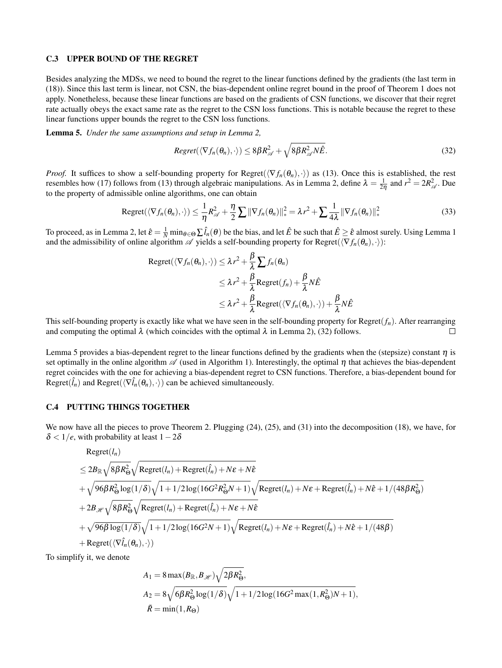#### <span id="page-16-0"></span>C.3 UPPER BOUND OF THE REGRET

Besides analyzing the MDSs, we need to bound the regret to the linear functions defined by the gradients (the last term in [\(18\)](#page-14-1)). Since this last term is linear, not CSN, the bias-dependent online regret bound in the proof of Theorem [1](#page-4-2) does not apply. Nonetheless, because these linear functions are based on the gradients of CSN functions, we discover that their regret rate actually obeys the exact same rate as the regret to the CSN loss functions. This is notable because the regret to these linear functions upper bounds the regret to the CSN loss functions.

<span id="page-16-2"></span>Lemma 5. *Under the same assumptions and setup in Lemma [2,](#page-12-0)*

<span id="page-16-1"></span>
$$
Regret(\langle \nabla f_n(\theta_n), \cdot \rangle) \leq 8\beta R_{\mathscr{A}}^2 + \sqrt{8\beta R_{\mathscr{A}}^2 N \hat{E}}.
$$
\n(32)

*Proof.* It suffices to show a self-bounding property for Regret( $\langle \nabla f_n(\theta_n), \cdot \rangle$ ) as [\(13\)](#page-12-4). Once this is established, the rest resembles how [\(17\)](#page-12-5) follows from [\(13\)](#page-12-4) through algebraic manipulations. As in Lemma [2,](#page-12-0) define  $\lambda = \frac{1}{2\eta}$  and  $r^2 = 2R_{\mathscr{A}}^2$ . Due to the property of admissible online algorithms, one can obtain

Regret
$$
(\langle \nabla f_n(\theta_n), \cdot \rangle) \leq \frac{1}{\eta} R_{\mathcal{A}}^2 + \frac{\eta}{2} \sum ||\nabla f_n(\theta_n)||_*^2 = \lambda r^2 + \sum \frac{1}{4\lambda} ||\nabla f_n(\theta_n)||_*^2
$$
 (33)

To proceed, as in Lemma [2,](#page-12-0) let  $\hat{\varepsilon} = \frac{1}{N} \min_{\theta \in \Theta} \sum \hat{l}_n(\theta)$  be the bias, and let  $\hat{E}$  be such that  $\hat{E} \geq \hat{\varepsilon}$  almost surely. Using Lemma [1](#page-5-2) and the admissibility of online algorithm  $\mathscr A$  yields a self-bounding property for Regret( $\langle \nabla f_n(\theta_n), \cdot \rangle$ ):

Regret(
$$
\langle \nabla f_n(\theta_n), \cdot \rangle
$$
)  $\leq \lambda r^2 + \frac{\beta}{\lambda} \sum f_n(\theta_n)$   
 $\leq \lambda r^2 + \frac{\beta}{\lambda} \text{Regret}(f_n) + \frac{\beta}{\lambda} N \hat{E}$   
 $\leq \lambda r^2 + \frac{\beta}{\lambda} \text{Regret}(\langle \nabla f_n(\theta_n), \cdot \rangle) + \frac{\beta}{\lambda} N \hat{E}$ 

This self-bounding property is exactly like what we have seen in the self-bounding property for  $Regret(f_n)$ . After rearranging and computing the optimal  $\lambda$  (which coincides with the optimal  $\lambda$  in Lemma [2\)](#page-12-0), [\(32\)](#page-16-1) follows.  $\Box$ 

Lemma [5](#page-16-2) provides a bias-dependent regret to the linear functions defined by the gradients when the (stepsize) constant  $\eta$  is set optimally in the online algorithm  $\mathscr A$  (used in Algorithm [1\)](#page-2-4). Interestingly, the optimal  $\eta$  that achieves the bias-dependent regret coincides with the one for achieving a bias-dependent regret to CSN functions. Therefore, a bias-dependent bound for Regret( $\hat{l}_n$ ) and Regret( $\langle \nabla \hat{l}_n(\theta_n), \cdot \rangle$ ) can be achieved simultaneously.

### C.4 PUTTING THINGS TOGETHER

We now have all the pieces to prove Theorem [2.](#page-4-3) Plugging [\(24\)](#page-15-1), [\(25\)](#page-15-6), and [\(31\)](#page-15-7) into the decomposition [\(18\)](#page-14-1), we have, for  $\delta$  < 1/*e*, with probability at least 1 – 2 $\delta$ 

$$
Regret(l_n)
$$
\n
$$
\leq 2B_{\mathbb{R}}\sqrt{8\beta R_{\Theta}^2}\sqrt{\text{Regret}(l_n) + \text{Regret}(\hat{l}_n) + N\epsilon + N\hat{\epsilon}}
$$
\n
$$
+\sqrt{96\beta R_{\Theta}^2\log(1/\delta)}\sqrt{1 + 1/2\log(16G^2R_{\Theta}^2N + 1)}\sqrt{\text{Regret}(l_n) + N\epsilon + \text{Regret}(\hat{l}_n) + N\hat{\epsilon} + 1/(48\beta R_{\Theta}^2)}
$$
\n
$$
+ 2B_{\mathcal{H}}\sqrt{8\beta R_{\Theta}^2}\sqrt{\text{Regret}(l_n) + \text{Regret}(\hat{l}_n) + N\epsilon + N\hat{\epsilon}}
$$
\n
$$
+\sqrt{96\beta\log(1/\delta)}\sqrt{1 + 1/2\log(16G^2N + 1)}\sqrt{\text{Regret}(l_n) + N\epsilon + \text{Regret}(\hat{l}_n) + N\hat{\epsilon} + 1/(48\beta)}
$$
\n
$$
+ \text{Regret}(\langle\nabla \hat{l}_n(\theta_n), \cdot \rangle)
$$

To simplify it, we denote

$$
A_1 = 8 \max(B_{\mathbb{R}}, B_{\mathcal{H}}) \sqrt{2\beta R_{\Theta}^2},
$$
  
\n
$$
A_2 = 8 \sqrt{6\beta R_{\Theta}^2 \log(1/\delta)} \sqrt{1 + 1/2 \log(16G^2 \max(1, R_{\Theta}^2)N + 1)},
$$
  
\n
$$
\tilde{R} = \min(1, R_{\Theta})
$$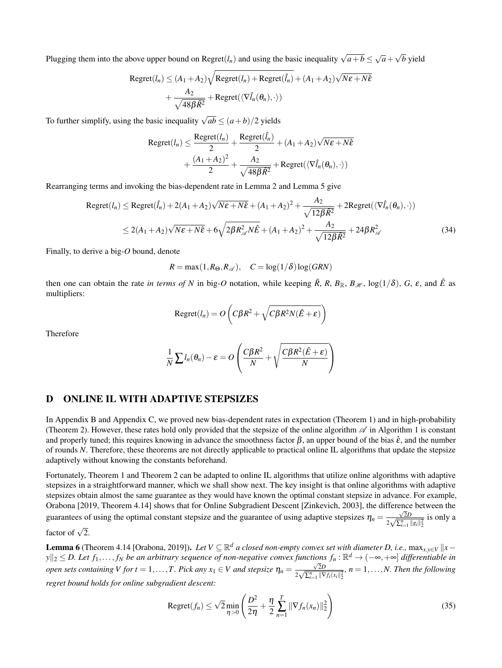Plugging them into the above upper bound on Regret( $l_n$ ) and using the basic inequality  $\sqrt{a+b} \le \sqrt{a} + \sqrt{b}$  yield

Regret
$$
(l_n)
$$
  $\leq$   $(A_1 + A_2) \sqrt{\text{Regret}(l_n) + \text{Regret}(\hat{l}_n)} + (A_1 + A_2) \sqrt{N\epsilon + N\hat{\epsilon}}$   
+  $\frac{A_2}{\sqrt{48\beta \tilde{R}^2}} + \text{Regret}(\langle \nabla \hat{l}_n(\theta_n), \cdot \rangle)$ 

To further simplify, using the basic inequality  $\sqrt{ab} \leq (a+b)/2$  yields

Regret
$$
(l_n)
$$
  $\leq \frac{\text{Regret}(l_n)}{2} + \frac{\text{Regret}(\hat{l}_n)}{2} + (A_1 + A_2)\sqrt{N\epsilon + N\hat{\epsilon}}$   
+  $\frac{(A_1 + A_2)^2}{2} + \frac{A_2}{\sqrt{48\beta \tilde{R}^2}} + \text{Regret}(\langle \nabla \hat{l}_n(\theta_n), \cdot \rangle)$ 

Rearranging terms and invoking the bias-dependent rate in Lemma [2](#page-12-0) and Lemma [5](#page-16-2) give

$$
\text{Regret}(l_n) \le \text{Regret}(\hat{l}_n) + 2(A_1 + A_2)\sqrt{N\epsilon + N\hat{\epsilon}} + (A_1 + A_2)^2 + \frac{A_2}{\sqrt{12\beta\tilde{R}^2}} + 2\text{Regret}(\langle \nabla \hat{l}_n(\theta_n), \cdot \rangle)
$$
  

$$
\le 2(A_1 + A_2)\sqrt{N\epsilon + N\hat{\epsilon}} + 6\sqrt{2\beta R_{\mathcal{A}}^2 N\hat{E}} + (A_1 + A_2)^2 + \frac{A_2}{\sqrt{12\beta\tilde{R}^2}} + 24\beta R_{\mathcal{A}}^2
$$
(34)

Finally, to derive a big-*O* bound, denote

<span id="page-17-1"></span> $R = \max(1, R_{\Theta}, R_{\mathscr{A}}), \quad C = \log(1/\delta) \log(GRN)$ 

then one can obtain the rate *in terms of N* in big-*O* notation, while keeping  $\tilde{R}$ ,  $R$ ,  $B_{\mathbb{R}}$ ,  $B_{\mathcal{H}}$ ,  $\log(1/\delta)$ ,  $G$ ,  $\varepsilon$ , and  $\hat{E}$  as multipliers:

$$
\text{Regret}(l_n) = O\left(C\beta R^2 + \sqrt{C\beta R^2 N(\hat{E} + \varepsilon)}\right)
$$

Therefore

$$
\frac{1}{N}\sum l_n(\theta_n)-\varepsilon=O\left(\frac{C\beta R^2}{N}+\sqrt{\frac{C\beta R^2(\hat{E}+\varepsilon)}{N}}\right)
$$

# <span id="page-17-0"></span>D ONLINE IL WITH ADAPTIVE STEPSIZES

In Appendix [B](#page-11-0) and Appendix [C,](#page-13-0) we proved new bias-dependent rates in expectation (Theorem [1\)](#page-4-2) and in high-probability (Theorem [2\)](#page-4-3). However, these rates hold only provided that the stepsize of the online algorithm  $\mathscr A$  in Algorithm [1](#page-2-4) is constant and properly tuned; this requires knowing in advance the smoothness factor  $\beta$ , an upper bound of the bias  $\hat{\epsilon}$ , and the number of rounds *N*. Therefore, these theorems are not directly applicable to practical online IL algorithms that update the stepsize adaptively without knowing the constants beforehand.

Fortunately, Theorem [1](#page-4-2) and Theorem [2](#page-4-3) can be adapted to online IL algorithms that utilize online algorithms with adaptive stepsizes in a straightforward manner, which we shall show next. The key insight is that online algorithms with adaptive stepsizes obtain almost the same guarantee as they would have known the optimal constant stepsize in advance. For example, [Orabona](#page-9-11) [\[2019,](#page-9-11) Theorem 4.14] shows that for Online Subgradient Descent [\[Zinkevich, 2003\]](#page-10-1), the difference between the guarantees of using the optimal constant stepsize and the guarantee of using adaptive stepsizes  $\eta_n = \frac{\sqrt{2}D}{2\sqrt{2}n}$  $rac{\sqrt{2D}}{2\sqrt{\sum_{i=1}^{n}||g_i||_2^2}}$  is only a

factor of  $\sqrt{2}$ .

**Lemma 6** (Theorem 4.14 [\[Orabona, 2019\]](#page-9-11)). *Let*  $V \subseteq \mathbb{R}^d$  *a closed non-empty convex set with diameter D, i.e.,*  $\max_{x,y \in V} ||x - y||$ *<sup>y</sup>*k<sup>2</sup> <sup>≤</sup> *D. Let <sup>f</sup>*1,..., *<sup>f</sup><sup>N</sup> be an arbitrary sequence of non-negative convex functions <sup>f</sup><sup>n</sup>* : <sup>R</sup> *<sup>d</sup>* <sup>→</sup> (−∞,+∞] *differentiable in open sets containing V for t* = 1,..., *T. Pick any*  $x_1 \in V$  *and stepsize*  $\eta_n = \frac{\sqrt{2}D}{2\sqrt{S^n \cdot |V|}}$  $\frac{\sqrt{2D}}{2\sqrt{\sum_{i=1}^{n} ||\nabla f_i(x_i||_2^2}}, n = 1, \ldots, N$ . Then the following *regret bound holds for online subgradient descent:*

Regret
$$
(f_n) \le \sqrt{2} \min_{\eta > 0} \left( \frac{D^2}{2\eta} + \frac{\eta}{2} \sum_{n=1}^T \|\nabla f_n(x_n)\|_2^2 \right)
$$
 (35)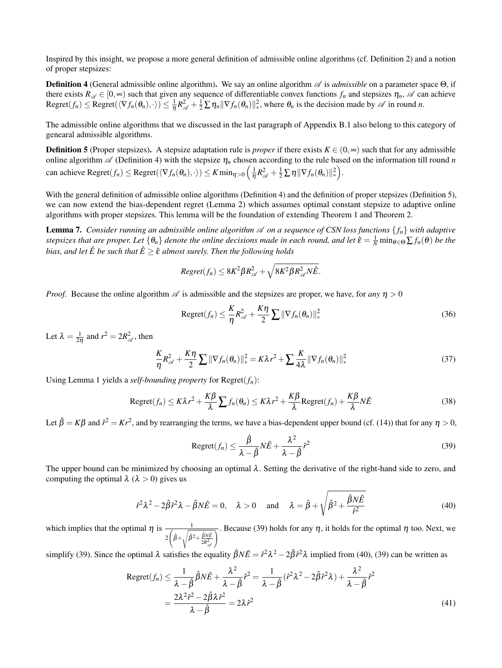Inspired by this insight, we propose a more general definition of admissible online algorithms (cf. Definition [2\)](#page-3-4) and a notion of proper stepsizes:

<span id="page-18-0"></span>**Definition 4** (General admissible online algorithm). We say an online algorithm  $\mathscr A$  is *admissible* on a parameter space Θ, if there exists  $R_A \in [0, \infty)$  such that given any sequence of differentiable convex functions  $f_n$  and stepsizes  $\eta_n$ , A can achieve  $\mathsf{Regret}(f_n) \leq \mathsf{Regret}(\langle \nabla f_n(\theta_n), \cdot \rangle) \leq \frac{1}{\eta} R_{\mathscr{A}}^2 + \frac{1}{2} \sum \eta_n \|\nabla f_n(\theta_n)\|_*^2$ <sup>2</sup>, where  $\theta_n$  is the decision made by  $\mathscr A$  in round *n*.

The admissible online algorithms that we discussed in the last paragraph of Appendix [B.1](#page-12-1) also belong to this category of genearal admissible algorithms.

<span id="page-18-1"></span>**Definition 5** (Proper stepsizes). A stepsize adaptation rule is *proper* if there exists  $K \in (0, \infty)$  such that for any admissible online algorithm  $\mathscr A$  (Definition [4\)](#page-18-0) with the stepsize  $\eta_n$  chosen according to the rule based on the information till round *n* can achieve Regret $(f_n) \leq$  Regret $(\langle \nabla f_n(\theta_n), \cdot \rangle) \leq K \min_{\eta > 0} \left( \frac{1}{\eta} R_{\mathscr{A}}^2 + \frac{1}{2} \sum_{n} \eta \|\nabla f_n(\theta_n)\|_{\ast}^2 \right)$ ∗ .

With the general definition of admissible online algorithms (Definition [4\)](#page-18-0) and the definition of proper stepsizes (Definition [5\)](#page-18-1), we can now extend the bias-dependent regret (Lemma [2\)](#page-12-0) which assumes optimal constant stepsize to adaptive online algorithms with proper stepsizes. This lemma will be the foundation of extending Theorem [1](#page-4-2) and Theorem [2.](#page-4-3)

<span id="page-18-4"></span>**Lemma 7.** Consider running an admissible online algorithm  $\mathcal A$  on a sequence of CSN loss functions  $\{f_n\}$  with adaptive  $s$ *tepsizes that are proper. Let*  $\{\theta_n\}$  *denote the online decisions made in each round, and let*  $\hat{\epsilon} = \frac{1}{N} \min_{\theta \in \Theta} \sum f_n(\theta)$  *be the bias, and let*  $\hat{E}$  *be such that*  $\hat{E} \geq \hat{\varepsilon}$  *almost surely. Then the following holds* 

$$
Regret(f_n) \leq 8K^2\beta R_{\mathscr{A}}^2 + \sqrt{8K^2\beta R_{\mathscr{A}}^2N\hat{E}}.
$$

*Proof.* Because the online algorithm  $\mathscr A$  is admissible and the stepsizes are proper, we have, for *any*  $\eta > 0$ 

$$
\text{Regret}(f_n) \leq \frac{K}{\eta} R_{\mathscr{A}}^2 + \frac{K\eta}{2} \sum ||\nabla f_n(\theta_n)||_*^2
$$
\n(36)

Let  $\lambda = \frac{1}{2\eta}$  and  $r^2 = 2R_{\mathscr{A}}^2$ , then

$$
\frac{K}{\eta}R_{\mathscr{A}}^2 + \frac{K\eta}{2}\sum \|\nabla f_n(\theta_n)\|_{*}^2 = K\lambda r^2 + \sum \frac{K}{4\lambda}\|\nabla f_n(\theta_n)\|_{*}^2
$$
\n(37)

Using Lemma [1](#page-5-2) yields a *self-bounding property* for Regret(*fn*):

$$
\text{Regret}(f_n) \leq K\lambda r^2 + \frac{K\beta}{\lambda} \sum f_n(\theta_n) \leq K\lambda r^2 + \frac{K\beta}{\lambda} \text{Regret}(f_n) + \frac{K\beta}{\lambda} N\hat{E}
$$
 (38)

Let  $\hat{\beta} = K\beta$  and  $\hat{r}^2 = Kr^2$ , and by rearranging the terms, we have a bias-dependent upper bound (cf. [\(14\)](#page-12-3)) that for any  $\eta > 0$ ,

<span id="page-18-5"></span><span id="page-18-3"></span><span id="page-18-2"></span>
$$
\text{Regret}(f_n) \leq \frac{\hat{\beta}}{\lambda - \hat{\beta}} N \hat{E} + \frac{\lambda^2}{\lambda - \hat{\beta}} \hat{r}^2
$$
\n(39)

The upper bound can be minimized by choosing an optimal  $\lambda$ . Setting the derivative of the right-hand side to zero, and computing the optimal  $\lambda$  ( $\lambda > 0$ ) gives us

$$
\hat{r}^2 \lambda^2 - 2\hat{\beta} \hat{r}^2 \lambda - \hat{\beta} N \hat{E} = 0, \quad \lambda > 0 \quad \text{and} \quad \lambda = \hat{\beta} + \sqrt{\hat{\beta}^2 + \frac{\hat{\beta} N \hat{E}}{\hat{r}^2}}
$$
(40)

which implies that the optimal  $\eta$  is  $\frac{1}{\sqrt{1-\frac{1}{\sqrt{1-\frac{1}{\sqrt{1-\frac{1}{\sqrt{1-\frac{1}{\sqrt{1-\frac{1}{\sqrt{1-\frac{1}{\sqrt{1-\frac{1}{\sqrt{1-\frac{1}{\sqrt{1-\frac{1}{\sqrt{1-\frac{1}{\sqrt{1-\frac{1}{\sqrt{1-\frac{1}{\sqrt{1-\frac{1}{\sqrt{1-\frac{1}{\sqrt{1-\frac{1}{\sqrt{1-\frac{1}{\sqrt{1-\frac{1}{\sqrt{1-\frac{1}{\sqrt{1-\frac{1}{\sqrt{1-\$ 2  $\sqrt{\hat{\beta}^2 + \frac{\hat{\beta}N\hat{E}}{2R_{\mathscr{A}}^2}}$  $\overline{\gamma}$  . Because [\(39\)](#page-18-2) holds for any  $\eta$ , it holds for the optimal  $\eta$  too. Next, we

simplify [\(39\)](#page-18-2). Since the optimal  $\lambda$  satisfies the equality  $\hat{\beta}N\hat{E} = \hat{r}^2\lambda^2 - 2\hat{\beta}\hat{r}^2\lambda$  implied from [\(40\)](#page-18-3), (39) can be written as

$$
\text{Regret}(f_n) \leq \frac{1}{\lambda - \hat{\beta}} \hat{\beta} N \hat{E} + \frac{\lambda^2}{\lambda - \hat{\beta}} \hat{r}^2 = \frac{1}{\lambda - \hat{\beta}} (\hat{r}^2 \lambda^2 - 2\hat{\beta} \hat{r}^2 \lambda) + \frac{\lambda^2}{\lambda - \hat{\beta}} \hat{r}^2
$$

$$
= \frac{2\lambda^2 \hat{r}^2 - 2\hat{\beta} \lambda \hat{r}^2}{\lambda - \hat{\beta}} = 2\lambda \hat{r}^2 \tag{41}
$$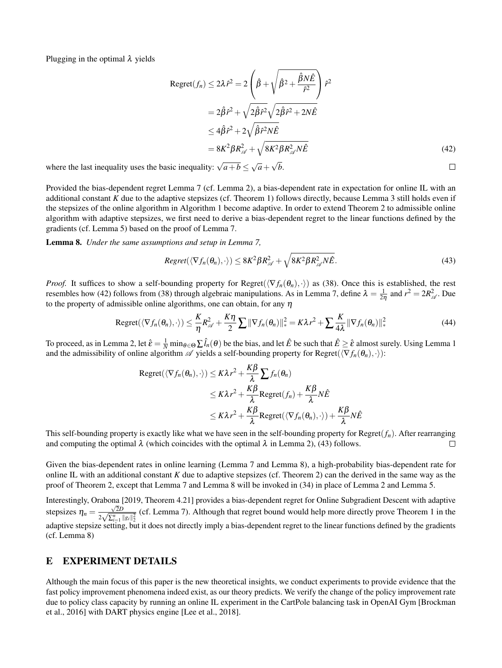Plugging in the optimal  $\lambda$  yields

$$
\begin{aligned} \text{Regret}(f_n) &\le 2\lambda \hat{r}^2 = 2\left(\hat{\beta} + \sqrt{\hat{\beta}^2 + \frac{\hat{\beta}N\hat{E}}{\hat{r}^2}}\right)\hat{r}^2 \\ &= 2\hat{\beta}\hat{r}^2 + \sqrt{2\hat{\beta}\hat{r}^2}\sqrt{2\hat{\beta}\hat{r}^2 + 2N\hat{E}} \\ &\le 4\hat{\beta}\hat{r}^2 + 2\sqrt{\hat{\beta}\hat{r}^2N\hat{E}} \\ &= 8K^2\beta R_{\mathscr{A}}^2 + \sqrt{8K^2\beta R_{\mathscr{A}}^2N\hat{E}} \end{aligned} \tag{42}
$$

<span id="page-19-2"></span><span id="page-19-1"></span> $\Box$ 

where the last inequality uses the basic inequality:  $\sqrt{a+b} \leq \sqrt{a} + \sqrt{b}$ .

Provided the bias-dependent regret Lemma [7](#page-18-4) (cf. Lemma [2\)](#page-12-0), a bias-dependent rate in expectation for online IL with an additional constant *K* due to the adaptive stepsizes (cf. Theorem [1\)](#page-4-2) follows directly, because Lemma [3](#page-13-2) still holds even if the stepsizes of the online algorithm in Algorithm [1](#page-2-4) become adaptive. In order to extend Theorem [2](#page-4-3) to admissible online algorithm with adaptive stepsizes, we first need to derive a bias-dependent regret to the linear functions defined by the gradients (cf. Lemma [5\)](#page-16-2) based on the proof of Lemma [7.](#page-18-4)

<span id="page-19-3"></span>Lemma 8. *Under the same assumptions and setup in Lemma [7,](#page-18-4)*

$$
Regret(\langle \nabla f_n(\theta_n), \cdot \rangle) \leq 8K^2 \beta R_{\mathscr{A}}^2 + \sqrt{8K^2 \beta R_{\mathscr{A}}^2 N \hat{E}}.
$$
\n(43)

*Proof.* It suffices to show a self-bounding property for Regret( $\langle \nabla f_n(\theta_n), \cdot \rangle$ ) as [\(38\)](#page-18-5). Once this is established, the rest resembles how [\(42\)](#page-19-1) follows from [\(38\)](#page-18-5) through algebraic manipulations. As in Lemma [7,](#page-18-4) define  $\lambda = \frac{1}{2\eta}$  and  $r^2 = 2R_{\mathscr{A}}^2$ . Due to the property of admissible online algorithms, one can obtain, for any  $\eta$ 

Regret
$$
(\langle \nabla f_n(\theta_n), \cdot \rangle) \leq \frac{K}{\eta} R_{\mathcal{A}}^2 + \frac{K\eta}{2} \sum ||\nabla f_n(\theta_n)||_*^2 = K\lambda r^2 + \sum \frac{K}{4\lambda} ||\nabla f_n(\theta_n)||_*^2
$$
 (44)

To proceed, as in Lemma [2,](#page-12-0) let  $\hat{\varepsilon} = \frac{1}{N} \min_{\theta \in \Theta} \sum \hat{l}_n(\theta)$  be the bias, and let  $\hat{E}$  be such that  $\hat{E} \geq \hat{\varepsilon}$  almost surely. Using Lemma [1](#page-5-2) and the admissibility of online algorithm  $\mathscr A$  yields a self-bounding property for Regret( $\langle \nabla f_n(\theta_n),\cdot \rangle$ ):

Regret(
$$
\langle \nabla f_n(\theta_n), \cdot \rangle
$$
)  $\leq K\lambda r^2 + \frac{K\beta}{\lambda} \sum f_n(\theta_n)$   
 $\leq K\lambda r^2 + \frac{K\beta}{\lambda} \text{Regret}(f_n) + \frac{K\beta}{\lambda} N\hat{E}$   
 $\leq K\lambda r^2 + \frac{K\beta}{\lambda} \text{Regret}(\langle \nabla f_n(\theta_n), \cdot \rangle) + \frac{K\beta}{\lambda} N\hat{E}$ 

This self-bounding property is exactly like what we have seen in the self-bounding property for Regret(*fn*). After rearranging and computing the optimal  $\lambda$  (which coincides with the optimal  $\lambda$  in Lemma [2\)](#page-12-0), [\(43\)](#page-19-2) follows.  $\Box$ 

Given the bias-dependent rates in online learning (Lemma [7](#page-18-4) and Lemma [8\)](#page-19-3), a high-probability bias-dependent rate for online IL with an additional constant *K* due to adaptive stepsizes (cf. Theorem [2\)](#page-4-3) can the derived in the same way as the proof of Theorem [2,](#page-4-3) except that Lemma [7](#page-18-4) and Lemma [8](#page-19-3) will be invoked in [\(34\)](#page-17-1) in place of Lemma [2](#page-12-0) and Lemma [5.](#page-16-2)

Interestingly, [Orabona](#page-9-11) [\[2019,](#page-9-11) Theorem 4.21] provides a bias-dependent regret for Online Subgradient Descent with adaptive stepsizes  $\eta_n = \frac{\sqrt{2}D}{2\sqrt{2}n}$  $\frac{\sqrt{2D}}{2\sqrt{\sum_{i=1}^{n}||g_i||_2^2}}$  (cf. Lemma [7\)](#page-18-4). Although that regret bound would help more directly prove Theorem [1](#page-4-2) in the adaptive stepsize setting, but it does not directly imply a bias-dependent regret to the linear functions defined by the gradients (cf. Lemma [8\)](#page-19-3)

# <span id="page-19-0"></span>E EXPERIMENT DETAILS

Although the main focus of this paper is the new theoretical insights, we conduct experiments to provide evidence that the fast policy improvement phenomena indeed exist, as our theory predicts. We verify the change of the policy improvement rate due to policy class capacity by running an online IL experiment in the CartPole balancing task in OpenAI Gym [\[Brockman](#page-8-19) [et al., 2016\]](#page-8-19) with DART physics engine [\[Lee et al., 2018\]](#page-8-20).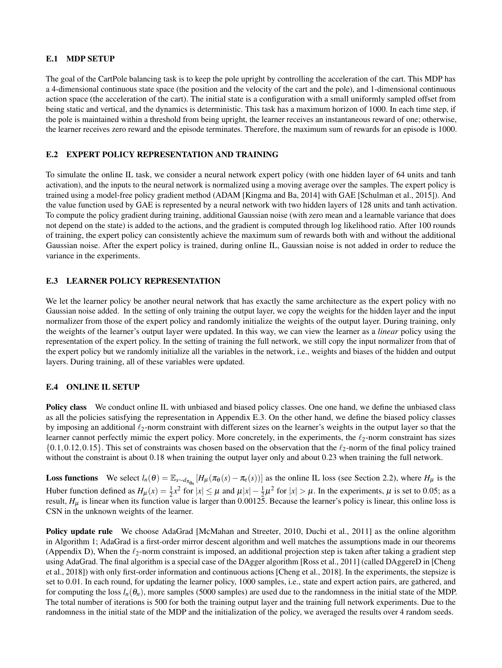## E.1 MDP SETUP

The goal of the CartPole balancing task is to keep the pole upright by controlling the acceleration of the cart. This MDP has a 4-dimensional continuous state space (the position and the velocity of the cart and the pole), and 1-dimensional continuous action space (the acceleration of the cart). The initial state is a configuration with a small uniformly sampled offset from being static and vertical, and the dynamics is deterministic. This task has a maximum horizon of 1000. In each time step, if the pole is maintained within a threshold from being upright, the learner receives an instantaneous reward of one; otherwise, the learner receives zero reward and the episode terminates. Therefore, the maximum sum of rewards for an episode is 1000.

### E.2 EXPERT POLICY REPRESENTATION AND TRAINING

To simulate the online IL task, we consider a neural network expert policy (with one hidden layer of 64 units and tanh activation), and the inputs to the neural network is normalized using a moving average over the samples. The expert policy is trained using a model-free policy gradient method (ADAM [\[Kingma and Ba, 2014\]](#page-8-18) with GAE [\[Schulman et al., 2015\]](#page-9-23)). And the value function used by GAE is represented by a neural network with two hidden layers of 128 units and tanh activation. To compute the policy gradient during training, additional Gaussian noise (with zero mean and a learnable variance that does not depend on the state) is added to the actions, and the gradient is computed through log likelihood ratio. After 100 rounds of training, the expert policy can consistently achieve the maximum sum of rewards both with and without the additional Gaussian noise. After the expert policy is trained, during online IL, Gaussian noise is not added in order to reduce the variance in the experiments.

### <span id="page-20-0"></span>E.3 LEARNER POLICY REPRESENTATION

We let the learner policy be another neural network that has exactly the same architecture as the expert policy with no Gaussian noise added. In the setting of only training the output layer, we copy the weights for the hidden layer and the input normalizer from those of the expert policy and randomly initialize the weights of the output layer. During training, only the weights of the learner's output layer were updated. In this way, we can view the learner as a *linear* policy using the representation of the expert policy. In the setting of training the full network, we still copy the input normalizer from that of the expert policy but we randomly initialize all the variables in the network, i.e., weights and biases of the hidden and output layers. During training, all of these variables were updated.

#### E.4 ONLINE IL SETUP

Policy class We conduct online IL with unbiased and biased policy classes. One one hand, we define the unbiased class as all the policies satisfying the representation in Appendix [E.3.](#page-20-0) On the other hand, we define the biased policy classes by imposing an additional  $\ell_2$ -norm constraint with different sizes on the learner's weights in the output layer so that the learner cannot perfectly mimic the expert policy. More concretely, in the experiments, the  $\ell_2$ -norm constraint has sizes  $\{0.1, 0.12, 0.15\}$ . This set of constraints was chosen based on the observation that the  $\ell_2$ -norm of the final policy trained without the constraint is about 0.18 when training the output layer only and about 0.23 when training the full network.

**Loss functions** We select  $l_n(\theta) = \mathbb{E}_{s \sim d_{\pi_{\theta_n}}}[H_\mu(\pi_\theta(s) - \pi_\theta(s))]$  as the online IL loss (see Section [2.2\)](#page-2-5), where  $H_\mu$  is the Huber function defined as  $H_{\mu}(x) = \frac{1}{2}x^2$  for  $|x| \le \mu$  and  $\mu|x| - \frac{1}{2}\mu^2$  for  $|x| > \mu$ . In the experiments,  $\mu$  is set to 0.05; as a result,  $H_{\mu}$  is linear when its function value is larger than 0.00125. Because the learner's policy is linear, this online loss is CSN in the unknown weights of the learner.

Policy update rule We choose AdaGrad [\[McMahan and Streeter, 2010,](#page-9-24) [Duchi et al., 2011\]](#page-8-13) as the online algorithm in Algorithm [1;](#page-2-4) AdaGrad is a first-order mirror descent algorithm and well matches the assumptions made in our theorems (Appendix [D\)](#page-17-0), When the  $\ell_2$ -norm constraint is imposed, an additional projection step is taken after taking a gradient step using AdaGrad. The final algorithm is a special case of the DAgger algorithm [\[Ross et al., 2011\]](#page-9-0) (called DAggereD in [\[Cheng](#page-8-9) [et al., 2018\]](#page-8-9)) with only first-order information and continuous actions [\[Cheng et al., 2018\]](#page-8-9). In the experiments, the stepsize is set to 0.01. In each round, for updating the learner policy, 1000 samples, i.e., state and expert action pairs, are gathered, and for computing the loss  $l_n(\theta_n)$ , more samples (5000 samples) are used due to the randomness in the initial state of the MDP. The total number of iterations is 500 for both the training output layer and the training full network experiments. Due to the randomness in the initial state of the MDP and the initialization of the policy, we averaged the results over 4 random seeds.